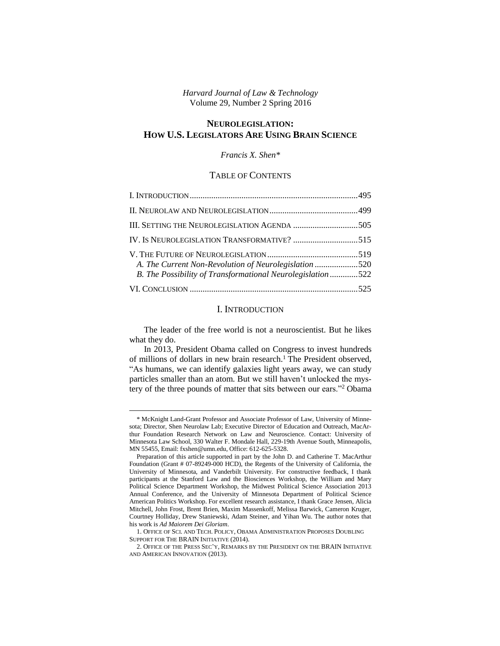*Harvard Journal of Law & Technology* Volume 29, Number 2 Spring 2016

# **NEUROLEGISLATION: HOW U.S. LEGISLATORS ARE USING BRAIN SCIENCE**

### *Francis X. Shen\**

# TABLE OF CONTENTS

| III. SETTING THE NEUROLEGISLATION AGENDA 505                                                                        |  |
|---------------------------------------------------------------------------------------------------------------------|--|
|                                                                                                                     |  |
| A. The Current Non-Revolution of Neurolegislation 520<br>B. The Possibility of Transformational Neurolegislation522 |  |
|                                                                                                                     |  |

## I. INTRODUCTION

The leader of the free world is not a neuroscientist. But he likes what they do.

In 2013, President Obama called on Congress to invest hundreds of millions of dollars in new brain research.<sup>1</sup> The President observed, "As humans, we can identify galaxies light years away, we can study particles smaller than an atom. But we still haven't unlocked the mystery of the three pounds of matter that sits between our ears."<sup>2</sup> Obama

 $\overline{a}$ 

1. OFFICE OF SCI. AND TECH. POLICY, OBAMA ADMINISTRATION PROPOSES DOUBLING SUPPORT FOR THE BRAIN INITIATIVE (2014).

<sup>\*</sup> McKnight Land-Grant Professor and Associate Professor of Law, University of Minnesota; Director, Shen Neurolaw Lab; Executive Director of Education and Outreach, MacArthur Foundation Research Network on Law and Neuroscience. Contact: University of Minnesota Law School, 330 Walter F. Mondale Hall, 229-19th Avenue South, Minneapolis, MN 55455, Email: fxshen@umn.edu, Office: 612-625-5328.

Preparation of this article supported in part by the John D. and Catherine T. MacArthur Foundation (Grant # 07-89249-000 HCD), the Regents of the University of California, the University of Minnesota, and Vanderbilt University. For constructive feedback, I thank participants at the Stanford Law and the Biosciences Workshop, the William and Mary Political Science Department Workshop, the Midwest Political Science Association 2013 Annual Conference, and the University of Minnesota Department of Political Science American Politics Workshop. For excellent research assistance, I thank Grace Jensen, Alicia Mitchell, John Frost, Brent Brien, Maxim Massenkoff, Melissa Barwick, Cameron Kruger, Courtney Holliday, Drew Staniewski, Adam Steiner, and Yihan Wu. The author notes that his work is *Ad Maiorem Dei Gloriam*.

<sup>2.</sup> OFFICE OF THE PRESS SEC'Y, REMARKS BY THE PRESIDENT ON THE BRAIN INITIATIVE AND AMERICAN INNOVATION (2013).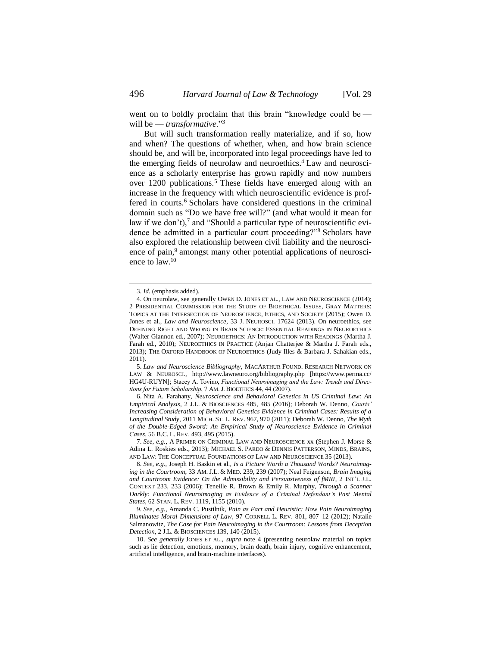went on to boldly proclaim that this brain "knowledge could be will be — *transformative*."<sup>3</sup>

<span id="page-1-3"></span><span id="page-1-2"></span><span id="page-1-0"></span>But will such transformation really materialize, and if so, how and when? The questions of whether, when, and how brain science should be, and will be, incorporated into legal proceedings have led to the emerging fields of neurolaw and neuroethics. <sup>4</sup> Law and neuroscience as a scholarly enterprise has grown rapidly and now numbers over 1200 publications.<sup>5</sup> These fields have emerged along with an increase in the frequency with which neuroscientific evidence is proffered in courts.<sup>6</sup> Scholars have considered questions in the criminal domain such as "Do we have free will?" (and what would it mean for law if we don't), <sup>7</sup> and "Should a particular type of neuroscientific evidence be admitted in a particular court proceeding?"<sup>8</sup> Scholars have also explored the relationship between civil liability and the neuroscience of pain,<sup>9</sup> amongst many other potential applications of neuroscience to law.<sup>10</sup>

<span id="page-1-1"></span><sup>3.</sup> *Id.* (emphasis added).

<sup>4.</sup> On neurolaw, see generally OWEN D. JONES ET AL., LAW AND NEUROSCIENCE (2014); 2 PRESIDENTIAL COMMISSION FOR THE STUDY OF BIOETHICAL ISSUES, GRAY MATTERS: TOPICS AT THE INTERSECTION OF NEUROSCIENCE, ETHICS, AND SOCIETY (2015); Owen D. Jones et al., *Law and Neuroscience*, 33 J. NEUROSCI. 17624 (2013). On neuroethics, see DEFINING RIGHT AND WRONG IN BRAIN SCIENCE: ESSENTIAL READINGS IN NEUROETHICS (Walter Glannon ed., 2007); NEUROETHICS: AN INTRODUCTION WITH READINGS (Martha J. Farah ed., 2010); NEUROETHICS IN PRACTICE (Anjan Chatterjee & Martha J. Farah eds., 2013); THE OXFORD HANDBOOK OF NEUROETHICS (Judy Illes & Barbara J. Sahakian eds., 2011).

<sup>5.</sup> *Law and Neuroscience Bibliography*, MACARTHUR FOUND. RESEARCH NETWORK ON LAW & NEUROSCI., http://www.lawneuro.org/bibliography.php [https://www.perma.cc/ HG4U-RUYN]; Stacey A. Tovino, *Functional Neuroimaging and the Law: Trends and Directions for Future Scholarship*, 7 AM.J. BIOETHICS 44, 44 (2007).

<sup>6.</sup> Nita A. Farahany, *Neuroscience and Behavioral Genetics in US Criminal Law: An Empirical Analysis*, 2 J.L. & BIOSCIENCES 485, 485 (2016); Deborah W. Denno, *Courts' Increasing Consideration of Behavioral Genetics Evidence in Criminal Cases: Results of a Longitudinal Study*, 2011 MICH. ST. L. REV. 967, 970 (2011); Deborah W. Denno, *The Myth of the Double-Edged Sword: An Empirical Study of Neuroscience Evidence in Criminal Cases*, 56 B.C. L. REV. 493, 495 (2015).

<sup>7.</sup> *See, e.g.*, A PRIMER ON CRIMINAL LAW AND NEUROSCIENCE xx (Stephen J. Morse & Adina L. Roskies eds., 2013); MICHAEL S. PARDO & DENNIS PATTERSON, MINDS, BRAINS, AND LAW: THE CONCEPTUAL FOUNDATIONS OF LAW AND NEUROSCIENCE 35 (2013).

<sup>8.</sup> *See, e.g.*, Joseph H. Baskin et al., *Is a Picture Worth a Thousand Words? Neuroimaging in the Courtroom*, 33 AM. J.L. & MED. 239, 239 (2007); Neal Feigenson, *Brain Imaging and Courtroom Evidence: On the Admissibility and Persuasiveness of fMRI*, 2 INT'L J.L. CONTEXT 233, 233 (2006); Teneille R. Brown & Emily R. Murphy, *Through a Scanner Darkly: Functional Neuroimaging as Evidence of a Criminal Defendant's Past Mental States*, 62 STAN. L. REV. 1119, 1155 (2010).

<sup>9.</sup> *See, e.g.*, Amanda C. Pustilnik, *Pain as Fact and Heuristic: How Pain Neuroimaging Illuminates Moral Dimensions of Law*, 97 CORNELL L. REV. 801, 807–12 (2012); Natalie Salmanowitz, *The Case for Pain Neuroimaging in the Courtroom: Lessons from Deception Detection*, 2 J.L. & BIOSCIENCES 139, 140 (2015).

<sup>10.</sup> *See generally* JONES ET AL., *supra* note [4](#page-1-0) (presenting neurolaw material on topics such as lie detection, emotions, memory, brain death, brain injury, cognitive enhancement, artificial intelligence, and brain-machine interfaces).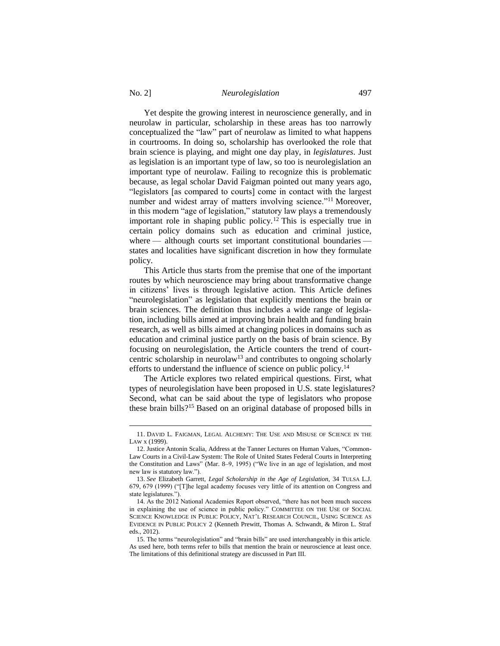$\overline{a}$ 

Yet despite the growing interest in neuroscience generally, and in neurolaw in particular, scholarship in these areas has too narrowly conceptualized the "law" part of neurolaw as limited to what happens in courtrooms. In doing so, scholarship has overlooked the role that brain science is playing, and might one day play, in *legislatures*. Just as legislation is an important type of law, so too is neurolegislation an important type of neurolaw. Failing to recognize this is problematic because, as legal scholar David Faigman pointed out many years ago, "legislators [as compared to courts] come in contact with the largest number and widest array of matters involving science."<sup>11</sup> Moreover, in this modern "age of legislation," statutory law plays a tremendously important role in shaping public policy.<sup>12</sup> This is especially true in certain policy domains such as education and criminal justice, where — although courts set important constitutional boundaries – states and localities have significant discretion in how they formulate policy.

<span id="page-2-0"></span>This Article thus starts from the premise that one of the important routes by which neuroscience may bring about transformative change in citizens' lives is through legislative action. This Article defines "neurolegislation" as legislation that explicitly mentions the brain or brain sciences. The definition thus includes a wide range of legislation, including bills aimed at improving brain health and funding brain research, as well as bills aimed at changing polices in domains such as education and criminal justice partly on the basis of brain science. By focusing on neurolegislation, the Article counters the trend of courtcentric scholarship in neurolaw<sup>13</sup> and contributes to ongoing scholarly efforts to understand the influence of science on public policy.<sup>14</sup>

The Article explores two related empirical questions. First, what types of neurolegislation have been proposed in U.S. state legislatures? Second, what can be said about the type of legislators who propose these brain bills?<sup>15</sup> Based on an original database of proposed bills in

<sup>11.</sup> DAVID L. FAIGMAN, LEGAL ALCHEMY: THE USE AND MISUSE OF SCIENCE IN THE LAW x (1999).

<sup>12.</sup> Justice Antonin Scalia, Address at the Tanner Lectures on Human Values, "Common-Law Courts in a Civil-Law System: The Role of United States Federal Courts in Interpreting the Constitution and Laws" (Mar. 8–9, 1995) ("We live in an age of legislation, and most new law is statutory law.").

<sup>13.</sup> *See* Elizabeth Garrett, *Legal Scholarship in the Age of Legislation*, 34 TULSA L.J. 679, 679 (1999) ("[T]he legal academy focuses very little of its attention on Congress and state legislatures.").

<sup>14.</sup> As the 2012 National Academies Report observed, "there has not been much success in explaining the use of science in public policy." COMMITTEE ON THE USE OF SOCIAL SCIENCE KNOWLEDGE IN PUBLIC POLICY, NAT'L RESEARCH COUNCIL, USING SCIENCE AS EVIDENCE IN PUBLIC POLICY 2 (Kenneth Prewitt, Thomas A. Schwandt, & Miron L. Straf eds., 2012).

<sup>15.</sup> The terms "neurolegislation" and "brain bills" are used interchangeably in this article. As used here, both terms refer to bills that mention the brain or neuroscience at least once. The limitations of this definitional strategy are discussed in Part III.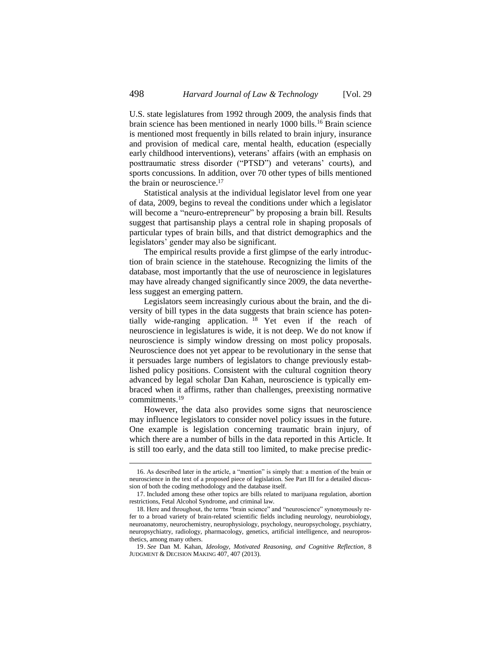U.S. state legislatures from 1992 through 2009, the analysis finds that brain science has been mentioned in nearly 1000 bills.<sup>16</sup> Brain science is mentioned most frequently in bills related to brain injury, insurance and provision of medical care, mental health, education (especially early childhood interventions), veterans' affairs (with an emphasis on posttraumatic stress disorder ("PTSD") and veterans' courts), and sports concussions. In addition, over 70 other types of bills mentioned the brain or neuroscience.<sup>17</sup>

Statistical analysis at the individual legislator level from one year of data, 2009, begins to reveal the conditions under which a legislator will become a "neuro-entrepreneur" by proposing a brain bill. Results suggest that partisanship plays a central role in shaping proposals of particular types of brain bills, and that district demographics and the legislators' gender may also be significant.

The empirical results provide a first glimpse of the early introduction of brain science in the statehouse. Recognizing the limits of the database, most importantly that the use of neuroscience in legislatures may have already changed significantly since 2009, the data nevertheless suggest an emerging pattern.

Legislators seem increasingly curious about the brain, and the diversity of bill types in the data suggests that brain science has potentially wide-ranging application. <sup>18</sup> Yet even if the reach of neuroscience in legislatures is wide, it is not deep. We do not know if neuroscience is simply window dressing on most policy proposals. Neuroscience does not yet appear to be revolutionary in the sense that it persuades large numbers of legislators to change previously established policy positions. Consistent with the cultural cognition theory advanced by legal scholar Dan Kahan, neuroscience is typically embraced when it affirms, rather than challenges, preexisting normative commitments.<sup>19</sup>

However, the data also provides some signs that neuroscience may influence legislators to consider novel policy issues in the future. One example is legislation concerning traumatic brain injury, of which there are a number of bills in the data reported in this Article. It is still too early, and the data still too limited, to make precise predic-

<sup>16.</sup> As described later in the article, a "mention" is simply that: a mention of the brain or neuroscience in the text of a proposed piece of legislation. See Part III for a detailed discussion of both the coding methodology and the database itself.

<sup>17.</sup> Included among these other topics are bills related to marijuana regulation, abortion restrictions, Fetal Alcohol Syndrome, and criminal law.

<sup>18.</sup> Here and throughout, the terms "brain science" and "neuroscience" synonymously refer to a broad variety of brain-related scientific fields including neurology, neurobiology, neuroanatomy, neurochemistry, neurophysiology, psychology, neuropsychology, psychiatry, neuropsychiatry, radiology, pharmacology, genetics, artificial intelligence, and neuroprosthetics, among many others.

<sup>19.</sup> *See* Dan M. Kahan, *Ideology, Motivated Reasoning, and Cognitive Reflection*, 8 JUDGMENT & DECISION MAKING 407, 407 (2013).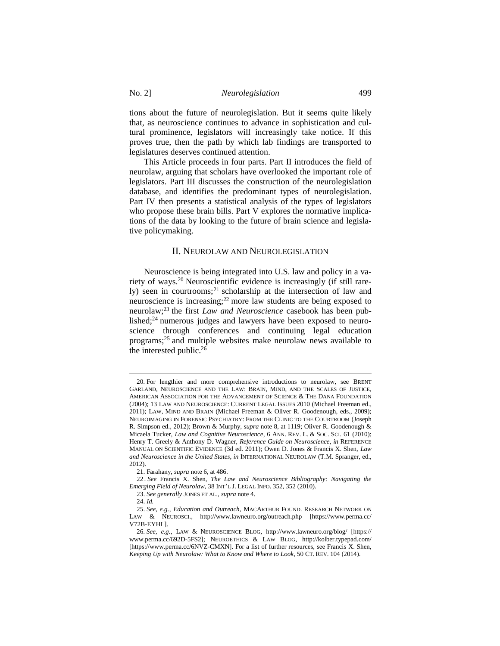tions about the future of neurolegislation. But it seems quite likely that, as neuroscience continues to advance in sophistication and cultural prominence, legislators will increasingly take notice. If this proves true, then the path by which lab findings are transported to legislatures deserves continued attention.

This Article proceeds in four parts. Part II introduces the field of neurolaw, arguing that scholars have overlooked the important role of legislators. Part III discusses the construction of the neurolegislation database, and identifies the predominant types of neurolegislation. Part IV then presents a statistical analysis of the types of legislators who propose these brain bills. Part V explores the normative implications of the data by looking to the future of brain science and legislative policymaking.

### <span id="page-4-1"></span><span id="page-4-0"></span>II. NEUROLAW AND NEUROLEGISLATION

Neuroscience is being integrated into U.S. law and policy in a variety of ways.<sup>20</sup> Neuroscientific evidence is increasingly (if still rarely) seen in courtrooms;<sup>21</sup> scholarship at the intersection of law and neuroscience is increasing;<sup>22</sup> more law students are being exposed to neurolaw;<sup>23</sup> the first *Law and Neuroscience* casebook has been published; $24$  numerous judges and lawyers have been exposed to neuroscience through conferences and continuing legal education programs;<sup>25</sup> and multiple websites make neurolaw news available to the interested public.<sup>26</sup>

<sup>20.</sup> For lengthier and more comprehensive introductions to neurolaw, see BRENT GARLAND, NEUROSCIENCE AND THE LAW: BRAIN, MIND, AND THE SCALES OF JUSTICE, AMERICAN ASSOCIATION FOR THE ADVANCEMENT OF SCIENCE & THE DANA FOUNDATION (2004); 13 LAW AND NEUROSCIENCE: CURRENT LEGAL ISSUES 2010 (Michael Freeman ed., 2011); LAW, MIND AND BRAIN (Michael Freeman & Oliver R. Goodenough, eds., 2009); NEUROIMAGING IN FORENSIC PSYCHIATRY: FROM THE CLINIC TO THE COURTROOM (Joseph R. Simpson ed., 2012); Brown & Murphy, *supra* not[e 8,](#page-1-1) at 1119; Oliver R. Goodenough & Micaela Tucker, *Law and Cognitive Neuroscience*, 6 ANN. REV. L. & SOC. SCI. 61 (2010); Henry T. Greely & Anthony D. Wagner, *Reference Guide on Neuroscience*, *in* REFERENCE MANUAL ON SCIENTIFIC EVIDENCE (3d ed. 2011); Owen D. Jones & Francis X. Shen, *Law and Neuroscience in the United States*, *in* INTERNATIONAL NEUROLAW (T.M. Spranger, ed., 2012).

<sup>21.</sup> Farahany, *supra* note [6,](#page-1-2) at 486.

<sup>22</sup> . *See* Francis X. Shen, *The Law and Neuroscience Bibliography: Navigating the Emerging Field of Neurolaw*, 38 INT'L J. LEGAL INFO. 352, 352 (2010).

<sup>23.</sup> *See generally* JONES ET AL., *supra* not[e 4.](#page-1-0)

<sup>24.</sup> *Id.*

<sup>25.</sup> *See, e.g.*, *Education and Outreach*, MACARTHUR FOUND. RESEARCH NETWORK ON LAW & NEUROSCI., http://www.lawneuro.org/outreach.php [https://www.perma.cc/ V72B-EYHL].

<sup>26.</sup> *See, e.g.*, LAW & NEUROSCIENCE BLOG, http://www.lawneuro.org/blog/ [https:// www.perma.cc/692D-5FS2]; NEUROETHICS & LAW BLOG, http://kolber.typepad.com/ [https://www.perma.cc/6NVZ-CMXN]. For a list of further resources, see Francis X. Shen, *Keeping Up with Neurolaw: What to Know and Where to Look*, 50 CT. REV. 104 (2014).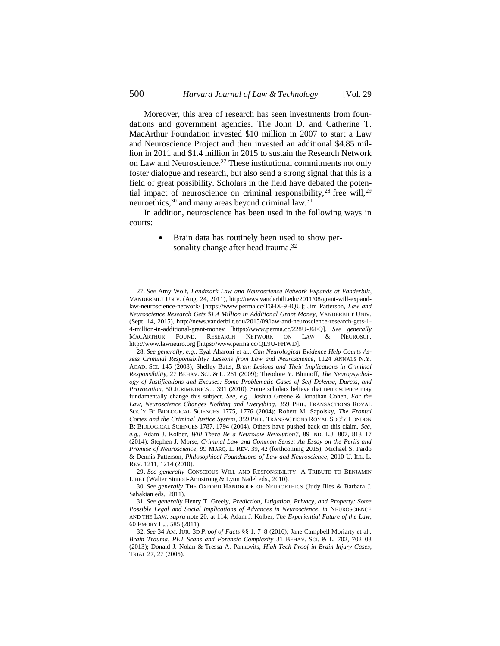Moreover, this area of research has seen investments from foundations and government agencies. The John D. and Catherine T. MacArthur Foundation invested \$10 million in 2007 to start a Law and Neuroscience Project and then invested an additional \$4.85 million in 2011 and \$1.4 million in 2015 to sustain the Research Network on Law and Neuroscience.<sup>27</sup> These institutional commitments not only foster dialogue and research, but also send a strong signal that this is a field of great possibility. Scholars in the field have debated the potential impact of neuroscience on criminal responsibility,  $28$  free will,  $29$ neuroethics,<sup>30</sup> and many areas beyond criminal law.<sup>31</sup>

In addition, neuroscience has been used in the following ways in courts:

> <span id="page-5-0"></span> Brain data has routinely been used to show personality change after head trauma.<sup>32</sup>

<sup>27.</sup> *See* Amy Wolf, *Landmark Law and Neuroscience Network Expands at Vanderbilt*, VANDERBILT UNIV. (Aug. 24, 2011), http://news.vanderbilt.edu/2011/08/grant-will-expandlaw-neuroscience-network/ [https://www.perma.cc/T6HX-9HQU]; Jim Patterson, *Law and Neuroscience Research Gets \$1.4 Million in Additional Grant Money*, VANDERBILT UNIV. (Sept. 14, 2015), http://news.vanderbilt.edu/2015/09/law-and-neuroscience-research-gets-1- 4-million-in-additional-grant-money [https://www.perma.cc/228U-J6FQ]. *See generally*  MACARTHUR FOUND. RESEARCH NETWORK ON LAW & NEUROSCI., http://www.lawneuro.org [https://www.perma.cc/QL9U-FHWD].

<sup>28.</sup> *See generally, e.g.*, Eyal Aharoni et al., *Can Neurological Evidence Help Courts Assess Criminal Responsibility? Lessons from Law and Neuroscience*, 1124 ANNALS N.Y. ACAD. SCI. 145 (2008); Shelley Batts, *Brain Lesions and Their Implications in Criminal Responsibility*, 27 BEHAV. SCI. & L. 261 (2009); Theodore Y. Blumoff, *The Neuropsychology of Justifications and Excuses: Some Problematic Cases of Self-Defense, Duress, and Provocation*, 50 JURIMETRICS J. 391 (2010). Some scholars believe that neuroscience may fundamentally change this subject. *See, e.g.*, Joshua Greene & Jonathan Cohen, *For the Law, Neuroscience Changes Nothing and Everything*, 359 PHIL. TRANSACTIONS ROYAL SOC'Y B: BIOLOGICAL SCIENCES 1775, 1776 (2004); Robert M. Sapolsky, *The Frontal Cortex and the Criminal Justice System*, 359 PHIL. TRANSACTIONS ROYAL SOC'Y LONDON B: BIOLOGICAL SCIENCES 1787, 1794 (2004). Others have pushed back on this claim. *See, e.g.*, Adam J. Kolber, *Will There Be a Neurolaw Revolution?*, 89 IND. L.J. 807, 813–17 (2014); Stephen J. Morse, *Criminal Law and Common Sense: An Essay on the Perils and Promise of Neuroscience*, 99 MARQ. L. REV. 39, 42 (forthcoming 2015); Michael S. Pardo & Dennis Patterson, *Philosophical Foundations of Law and Neuroscience*, 2010 U. ILL. L. REV. 1211, 1214 (2010).

<sup>29.</sup> *See generally* CONSCIOUS WILL AND RESPONSIBILITY: A TRIBUTE TO BENJAMIN LIBET (Walter Sinnott-Armstrong & Lynn Nadel eds., 2010).

<sup>30.</sup> *See generally* THE OXFORD HANDBOOK OF NEUROETHICS (Judy Illes & Barbara J. Sahakian eds., 2011).

<sup>31.</sup> *See generally* Henry T. Greely, *Prediction, Litigation, Privacy, and Property: Some Possible Legal and Social Implications of Advances in Neuroscience*, *in* NEUROSCIENCE AND THE LAW, *supra* not[e 20,](#page-4-0) at 114; Adam J. Kolber, *The Experiential Future of the Law*, 60 EMORY L.J. 585 (2011).

<sup>32.</sup> *See* 34 AM. JUR. 3D *Proof of Facts* §§ 1, 7–8 (2016); Jane Campbell Moriarty et al., *Brain Trauma, PET Scans and Forensic Complexity* 31 BEHAV. SCI. & L. 702, 702–03 (2013); Donald J. Nolan & Tressa A. Pankovits, *High-Tech Proof in Brain Injury Cases*, TRIAL 27, 27 (2005).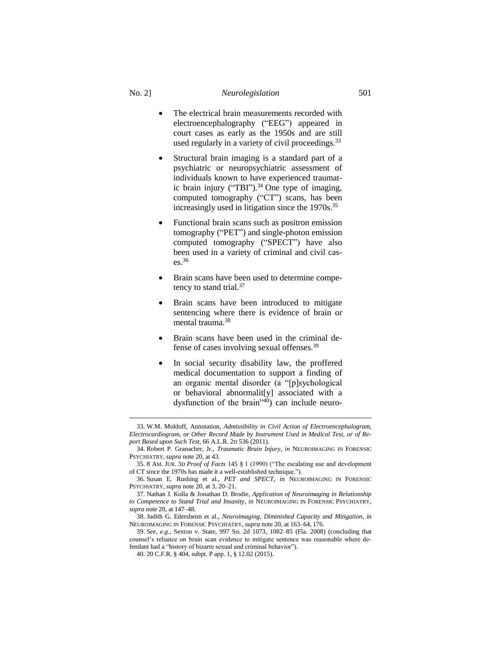# No. 2] *Neurolegislation* 501

- The electrical brain measurements recorded with electroencephalography ("EEG") appeared in court cases as early as the 1950s and are still used regularly in a variety of civil proceedings.<sup>33</sup>
- Structural brain imaging is a standard part of a psychiatric or neuropsychiatric assessment of individuals known to have experienced traumatic brain injury ("TBI").<sup>34</sup> One type of imaging, computed tomography ("CT") scans, has been increasingly used in litigation since the 1970s. 35
- Functional brain scans such as positron emission tomography ("PET") and single-photon emission computed tomography ("SPECT") have also been used in a variety of criminal and civil cases.<sup>36</sup>
- Brain scans have been used to determine competency to stand trial.<sup>37</sup>
- Brain scans have been introduced to mitigate sentencing where there is evidence of brain or mental trauma.<sup>38</sup>
- Brain scans have been used in the criminal defense of cases involving sexual offenses. 39
- In social security disability law, the proffered medical documentation to support a finding of an organic mental disorder (a "[p]sychological or behavioral abnormalit[y] associated with a dysfunction of the brain<sup> $n_{40}$ </sup> can include neuro-

<sup>33.</sup> W.M. Moldoff, Annotation, *Admissibility in Civil Action of Electroencephalogram, Electrocardiogram, or Other Record Made by Instrument Used in Medical Test, or of Report Based upon Such Test*, 66 A.L.R. 2D 536 (2011).

<sup>34.</sup> Robert P. Granacher, Jr., *Traumatic Brain Injury*, *in* NEUROIMAGING IN FORENSIC PSYCHIATRY, *supra* not[e 20,](#page-4-0) at 43.

<sup>35.</sup> 8 AM. JUR. 3D *Proof of Facts* 145 § 1 (1990) ("The escalating use and development of CT since the 1970s has made it a well-established technique.").

<sup>36.</sup> Susan E. Rushing et al., *PET and SPECT*, *in* NEUROIMAGING IN FORENSIC PSYCHIATRY, *supra* not[e 20,](#page-4-0) at 3, 20–21.

<sup>37.</sup> Nathan J. Kolla & Jonathan D. Brodie, *Application of Neuroimaging in Relationship to Competence to Stand Trial and Insanity*, *in* NEUROIMAGING IN FORENSIC PSYCHIATRY, *supra* not[e 20,](#page-4-0) at 147–48.

<sup>38.</sup> Judith G. Edersheim et al., *Neuroimaging, Diminished Capacity and Mitigation*, *in*  NEUROIMAGING IN FORENSIC PSYCHIATRY, *supra* not[e 20,](#page-4-0) at 163–64, 176.

<sup>39.</sup> *See, e.g.*, Sexton v. State, 997 So. 2d 1073, 1082–85 (Fla. 2008) (concluding that counsel's reliance on brain scan evidence to mitigate sentence was reasonable where defendant had a "history of bizarre sexual and criminal behavior").

<sup>40.</sup> 20 C.F.R. § 404, subpt. P app. 1, § 12.02 (2015).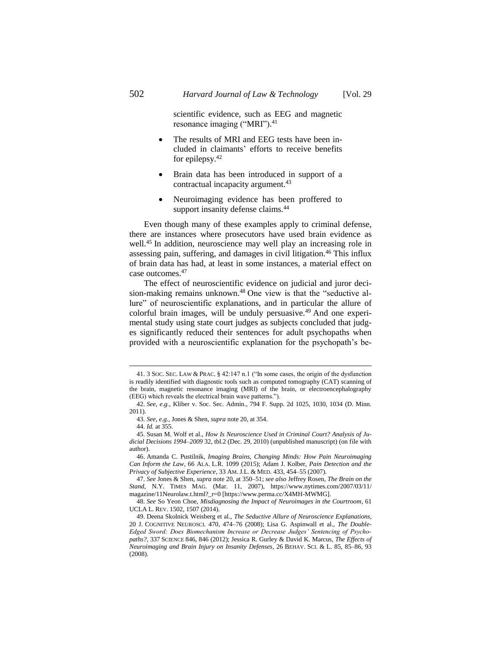scientific evidence, such as EEG and magnetic resonance imaging ("MRI").<sup>41</sup>

- The results of MRI and EEG tests have been included in claimants' efforts to receive benefits for epilepsy.<sup>42</sup>
- Brain data has been introduced in support of a contractual incapacity argument.<sup>43</sup>
- Neuroimaging evidence has been proffered to support insanity defense claims.<sup>44</sup>

Even though many of these examples apply to criminal defense, there are instances where prosecutors have used brain evidence as well.<sup>45</sup> In addition, neuroscience may well play an increasing role in assessing pain, suffering, and damages in civil litigation.<sup>46</sup> This influx of brain data has had, at least in some instances, a material effect on case outcomes.<sup>47</sup>

<span id="page-7-0"></span>The effect of neuroscientific evidence on judicial and juror decision-making remains unknown.<sup>48</sup> One view is that the "seductive allure" of neuroscientific explanations, and in particular the allure of colorful brain images, will be unduly persuasive.<sup>49</sup> And one experimental study using state court judges as subjects concluded that judges significantly reduced their sentences for adult psychopaths when provided with a neuroscientific explanation for the psychopath's be-

<sup>41.</sup> 3 SOC. SEC. LAW & PRAC. § 42:147 n.1 ("In some cases, the origin of the dysfunction is readily identified with diagnostic tools such as computed tomography (CAT) scanning of the brain, magnetic resonance imaging (MRI) of the brain, or electroencephalography (EEG) which reveals the electrical brain wave patterns.").

<sup>42.</sup> *See, e.g.*, Kliber v. Soc. Sec. Admin., 794 F. Supp. 2d 1025, 1030, 1034 (D. Minn. 2011).

<sup>43.</sup> *See, e.g.*, Jones & Shen, *supra* not[e 20,](#page-4-0) at 354.

<sup>44.</sup> *Id.* at 355.

<sup>45.</sup> Susan M. Wolf et al., *How Is Neuroscience Used in Criminal Court? Analysis of Judicial Decisions 1994–2009* 32, tbl.2 (Dec. 29, 2010) (unpublished manuscript) (on file with author).

<sup>46.</sup> Amanda C. Pustilnik, *Imaging Brains, Changing Minds: How Pain Neuroimaging Can Inform the Law*, 66 ALA. L.R. 1099 (2015); Adam J. Kolber, *Pain Detection and the Privacy of Subjective Experience*, 33 AM. J.L. & MED. 433, 454–55 (2007).

<sup>47.</sup> *See* Jones & Shen, *supra* not[e 20,](#page-4-0) at 350–51; *see also* Jeffrey Rosen, *The Brain on the Stand*, N.Y. TIMES MAG. (Mar. 11, 2007), https://www.nytimes.com/2007/03/11/ magazine/11Neurolaw.t.html?\_r=0 [https://www.perma.cc/X4MH-MWMG].

<sup>48.</sup> *See* So Yeon Choe, *Misdiagnosing the Impact of Neuroimages in the Courtroom*, 61 UCLA L. REV. 1502, 1507 (2014).

<sup>49.</sup> Deena Skolnick Weisberg et al., *The Seductive Allure of Neuroscience Explanations*, 20 J. COGNITIVE NEUROSCI. 470, 474–76 (2008); Lisa G. Aspinwall et al., *The Double-Edged Sword: Does Biomechanism Increase or Decrease Judges' Sentencing of Psychopaths?*, 337 SCIENCE 846, 846 (2012); Jessica R. Gurley & David K. Marcus, *The Effects of Neuroimaging and Brain Injury on Insanity Defenses*, 26 BEHAV. SCI. & L. 85, 85–86, 93 (2008).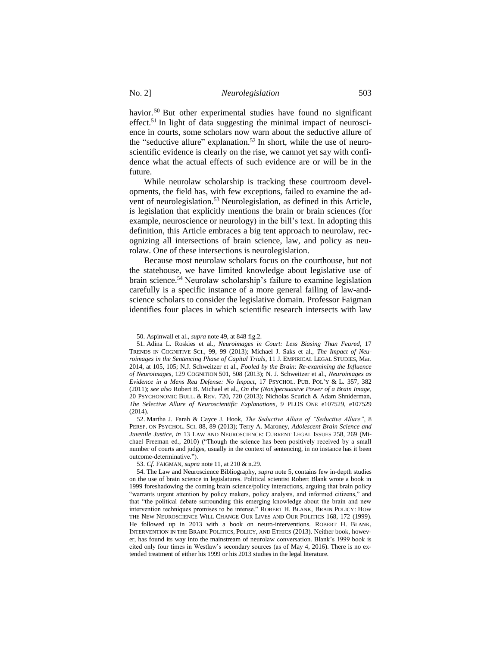havior.<sup>50</sup> But other experimental studies have found no significant effect.<sup>51</sup> In light of data suggesting the minimal impact of neuroscience in courts, some scholars now warn about the seductive allure of the "seductive allure" explanation.<sup>52</sup> In short, while the use of neuroscientific evidence is clearly on the rise, we cannot yet say with confidence what the actual effects of such evidence are or will be in the future.

While neurolaw scholarship is tracking these courtroom developments, the field has, with few exceptions, failed to examine the advent of neurolegislation. <sup>53</sup> Neurolegislation, as defined in this Article, is legislation that explicitly mentions the brain or brain sciences (for example, neuroscience or neurology) in the bill's text. In adopting this definition, this Article embraces a big tent approach to neurolaw, recognizing all intersections of brain science, law, and policy as neurolaw. One of these intersections is neurolegislation.

Because most neurolaw scholars focus on the courthouse, but not the statehouse, we have limited knowledge about legislative use of brain science.<sup>54</sup> Neurolaw scholarship's failure to examine legislation carefully is a specific instance of a more general failing of law-andscience scholars to consider the legislative domain. Professor Faigman identifies four places in which scientific research intersects with law

<sup>50.</sup> Aspinwall et al., *supra* not[e 49,](#page-7-0) at 848 fig.2.

<sup>51.</sup> Adina L. Roskies et al., *Neuroimages in Court: Less Biasing Than Feared*, 17 TRENDS IN COGNITIVE SCI., 99, 99 (2013); Michael J. Saks et al., *The Impact of Neuroimages in the Sentencing Phase of Capital Trials*, 11 J. EMPIRICAL LEGAL STUDIES, Mar. 2014, at 105, 105; N.J. Schweitzer et al., *Fooled by the Brain: Re-examining the Influence of Neuroimages*, 129 COGNITION 501, 508 (2013); N. J. Schweitzer et al., *Neuroimages as Evidence in a Mens Rea Defense: No Impact*, 17 PSYCHOL. PUB. POL'Y & L. 357, 382 (2011); *see also* Robert B. Michael et al., *On the (Non)persuasive Power of a Brain Image*, 20 PSYCHONOMIC BULL. & REV. 720, 720 (2013); Nicholas Scurich & Adam Shniderman, *The Selective Allure of Neuroscientific Explanations*, 9 PLOS ONE e107529, e107529  $(2014)$ 

<sup>52.</sup> Martha J. Farah & Cayce J. Hook, *The Seductive Allure of "Seductive Allure"*, 8 PERSP. ON PSYCHOL. SCI. 88, 89 (2013); Terry A. Maroney, *Adolescent Brain Science and Juvenile Justice*, *in* 13 LAW AND NEUROSCIENCE: CURRENT LEGAL ISSUES 258, 269 (Michael Freeman ed., 2010) ("Though the science has been positively received by a small number of courts and judges, usually in the context of sentencing, in no instance has it been outcome-determinative.").

<sup>53.</sup> *Cf.* FAIGMAN, *supra* not[e 11,](#page-2-0) at 210 & n.29.

<sup>54.</sup> The Law and Neuroscience Bibliography, *supra* not[e 5,](#page-1-3) contains few in-depth studies on the use of brain science in legislatures. Political scientist Robert Blank wrote a book in 1999 foreshadowing the coming brain science/policy interactions, arguing that brain policy "warrants urgent attention by policy makers, policy analysts, and informed citizens," and that "the political debate surrounding this emerging knowledge about the brain and new intervention techniques promises to be intense." ROBERT H. BLANK, BRAIN POLICY: HOW THE NEW NEUROSCIENCE WILL CHANGE OUR LIVES AND OUR POLITICS 168, 172 (1999). He followed up in 2013 with a book on neuro-interventions. ROBERT H. BLANK, INTERVENTION IN THE BRAIN: POLITICS, POLICY, AND ETHICS (2013). Neither book, however, has found its way into the mainstream of neurolaw conversation. Blank's 1999 book is cited only four times in Westlaw's secondary sources (as of May 4, 2016). There is no extended treatment of either his 1999 or his 2013 studies in the legal literature.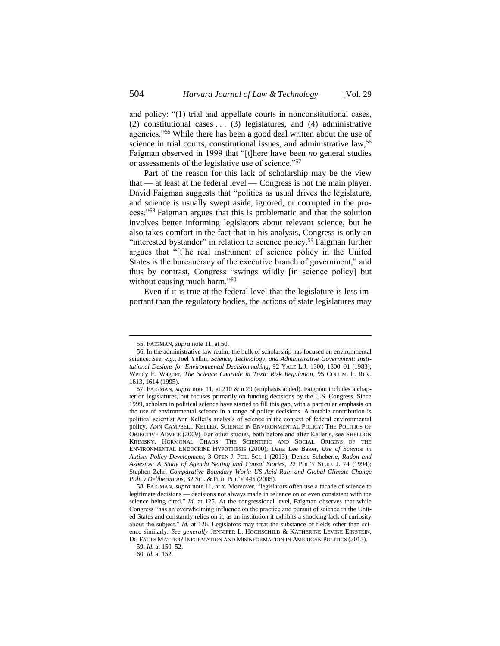and policy: "(1) trial and appellate courts in nonconstitutional cases, (2) constitutional cases  $\ldots$  (3) legislatures, and (4) administrative agencies."<sup>55</sup> While there has been a good deal written about the use of science in trial courts, constitutional issues, and administrative law,<sup>56</sup> Faigman observed in 1999 that "[t]here have been *no* general studies or assessments of the legislative use of science."<sup>57</sup>

<span id="page-9-0"></span>Part of the reason for this lack of scholarship may be the view that — at least at the federal level — Congress is not the main player. David Faigman suggests that "politics as usual drives the legislature, and science is usually swept aside, ignored, or corrupted in the process."<sup>58</sup> Faigman argues that this is problematic and that the solution involves better informing legislators about relevant science, but he also takes comfort in the fact that in his analysis, Congress is only an "interested bystander" in relation to science policy.<sup>59</sup> Faigman further argues that "[t]he real instrument of science policy in the United States is the bureaucracy of the executive branch of government," and thus by contrast, Congress "swings wildly [in science policy] but without causing much harm."<sup>60</sup>

Even if it is true at the federal level that the legislature is less important than the regulatory bodies, the actions of state legislatures may

<sup>55.</sup> FAIGMAN, *supra* not[e 11,](#page-2-0) at 50.

<sup>56.</sup> In the administrative law realm, the bulk of scholarship has focused on environmental science. *See, e.g.*, Joel Yellin, *Science, Technology, and Administrative Government: Institutional Designs for Environmental Decisionmaking*, 92 YALE L.J. 1300, 1300–01 (1983); Wendy E. Wagner, *The Science Charade in Toxic Risk Regulation*, 95 COLUM. L. REV. 1613, 1614 (1995).

<sup>57.</sup> FAIGMAN, *supra* not[e 11,](#page-2-0) at 210 & n.29 (emphasis added). Faigman includes a chapter on legislatures, but focuses primarily on funding decisions by the U.S. Congress. Since 1999, scholars in political science have started to fill this gap, with a particular emphasis on the use of environmental science in a range of policy decisions. A notable contribution is political scientist Ann Keller's analysis of science in the context of federal environmental policy. ANN CAMPBELL KELLER, SCIENCE IN ENVIRONMENTAL POLICY: THE POLITICS OF OBJECTIVE ADVICE (2009). For other studies, both before and after Keller's, see SHELDON KRIMSKY, HORMONAL CHAOS: THE SCIENTIFIC AND SOCIAL ORIGINS OF THE ENVIRONMENTAL ENDOCRINE HYPOTHESIS (2000); Dana Lee Baker, *Use of Science in Autism Policy Development*, 3 OPEN J. POL. SCI. 1 (2013); Denise Scheberle, *Radon and Asbestos: A Study of Agenda Setting and Causal Stories*, 22 POL'Y STUD. J. 74 (1994); Stephen Zehr, *Comparative Boundary Work: US Acid Rain and Global Climate Change Policy Deliberations*, 32 SCI. & PUB. POL'Y 445 (2005).

<sup>58.</sup> FAIGMAN, *supra* not[e 11,](#page-2-0) at x. Moreover, "legislators often use a facade of science to legitimate decisions — decisions not always made in reliance on or even consistent with the science being cited." *Id.* at 125. At the congressional level, Faigman observes that while Congress "has an overwhelming influence on the practice and pursuit of science in the United States and constantly relies on it, as an institution it exhibits a shocking lack of curiosity about the subject." *Id.* at 126. Legislators may treat the substance of fields other than science similarly. *See generally* JENNIFER L. HOCHSCHILD & KATHERINE LEVINE EINSTEIN, DO FACTS MATTER? INFORMATION AND MISINFORMATION IN AMERICAN POLITICS (2015).

<sup>59.</sup> *Id.* at 150–52.

<sup>60.</sup> *Id.* at 152.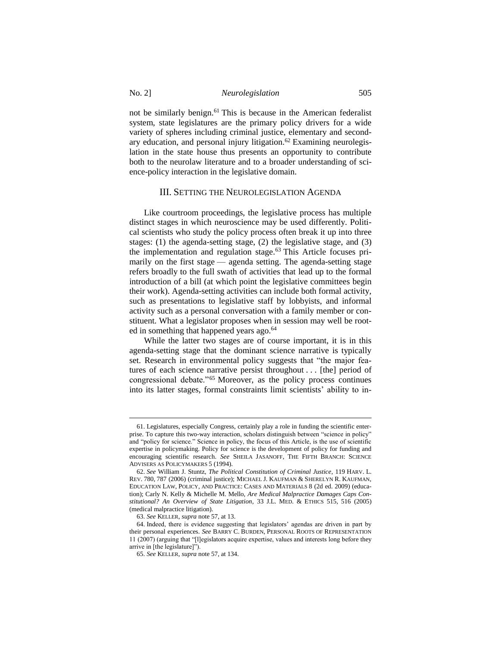<span id="page-10-0"></span>not be similarly benign.<sup>61</sup> This is because in the American federalist system, state legislatures are the primary policy drivers for a wide variety of spheres including criminal justice, elementary and secondary education, and personal injury litigation.<sup>62</sup> Examining neurolegislation in the state house thus presents an opportunity to contribute both to the neurolaw literature and to a broader understanding of science-policy interaction in the legislative domain.

#### III. SETTING THE NEUROLEGISLATION AGENDA

Like courtroom proceedings, the legislative process has multiple distinct stages in which neuroscience may be used differently. Political scientists who study the policy process often break it up into three stages: (1) the agenda-setting stage, (2) the legislative stage, and (3) the implementation and regulation stage. $63$  This Article focuses primarily on the first stage — agenda setting. The agenda-setting stage refers broadly to the full swath of activities that lead up to the formal introduction of a bill (at which point the legislative committees begin their work). Agenda-setting activities can include both formal activity, such as presentations to legislative staff by lobbyists, and informal activity such as a personal conversation with a family member or constituent. What a legislator proposes when in session may well be rooted in something that happened years ago.<sup>64</sup>

While the latter two stages are of course important, it is in this agenda-setting stage that the dominant science narrative is typically set. Research in environmental policy suggests that "the major features of each science narrative persist throughout . . . [the] period of congressional debate."<sup>65</sup> Moreover, as the policy process continues into its latter stages, formal constraints limit scientists' ability to in-

<sup>61.</sup> Legislatures, especially Congress, certainly play a role in funding the scientific enterprise. To capture this two-way interaction, scholars distinguish between "science in policy" and "policy for science." Science in policy, the focus of this Article, is the use of scientific expertise in policymaking. Policy for science is the development of policy for funding and encouraging scientific research. *See* SHEILA JASANOFF, THE FIFTH BRANCH: SCIENCE ADVISERS AS POLICYMAKERS 5 (1994).

<sup>62.</sup> *See* William J. Stuntz, *The Political Constitution of Criminal Justice*, 119 HARV. L. REV. 780, 787 (2006) (criminal justice); MICHAEL J. KAUFMAN & SHERELYN R. KAUFMAN, EDUCATION LAW, POLICY, AND PRACTICE: CASES AND MATERIALS 8 (2d ed. 2009) (education); Carly N. Kelly & Michelle M. Mello, *Are Medical Malpractice Damages Caps Constitutional? An Overview of State Litigation*, 33 J.L. MED. & ETHICS 515, 516 (2005) (medical malpractice litigation).

<sup>63.</sup> *See* KELLER, *supra* not[e 57,](#page-9-0) at 13.

<sup>64.</sup> Indeed, there is evidence suggesting that legislators' agendas are driven in part by their personal experiences. *See* BARRY C. BURDEN, PERSONAL ROOTS OF REPRESENTATION 11 (2007) (arguing that "[l]egislators acquire expertise, values and interests long before they arrive in [the legislature]").

<sup>65.</sup> *See* KELLER, *supra* not[e 57,](#page-9-0) at 134.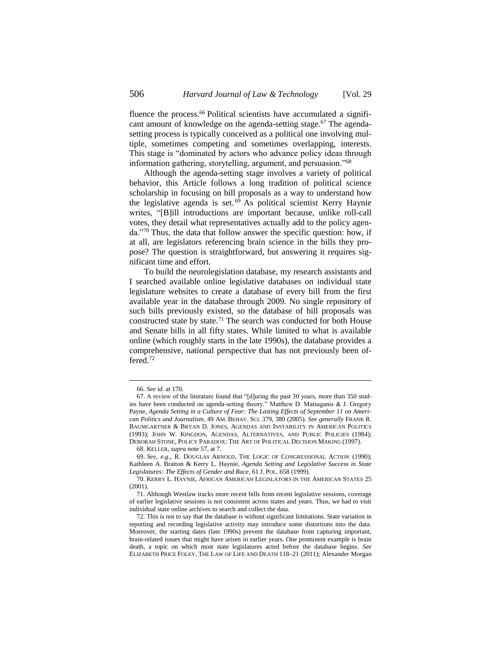<span id="page-11-0"></span>fluence the process. <sup>66</sup> Political scientists have accumulated a significant amount of knowledge on the agenda-setting stage.<sup>67</sup> The agendasetting process is typically conceived as a political one involving multiple, sometimes competing and sometimes overlapping, interests. This stage is "dominated by actors who advance policy ideas through information gathering, storytelling, argument, and persuasion."<sup>68</sup>

Although the agenda-setting stage involves a variety of political behavior, this Article follows a long tradition of political science scholarship in focusing on bill proposals as a way to understand how the legislative agenda is set. <sup>69</sup> As political scientist Kerry Haynie writes, "[B]ill introductions are important because, unlike roll-call votes, they detail what representatives actually add to the policy agenda."<sup>70</sup> Thus, the data that follow answer the specific question: how, if at all, are legislators referencing brain science in the bills they propose? The question is straightforward, but answering it requires significant time and effort.

To build the neurolegislation database, my research assistants and I searched available online legislative databases on individual state legislature websites to create a database of every bill from the first available year in the database through 2009. No single repository of such bills previously existed, so the database of bill proposals was constructed state by state.<sup>71</sup> The search was conducted for both House and Senate bills in all fifty states. While limited to what is available online (which roughly starts in the late 1990s), the database provides a comprehensive, national perspective that has not previously been offered. 72

 $\overline{a}$ 

68. KELLER, *supra* not[e 57,](#page-9-0) at 7.

<sup>66.</sup> *See id.* at 170.

<sup>67.</sup> A review of the literature found that "[d]uring the past 30 years, more than 350 studies have been conducted on agenda-setting theory." Matthew D. Matsaganis & J. Gregory Payne, *Agenda Setting in a Culture of Fear: The Lasting Effects of September 11 on American Politics and Journalism*, 49 AM. BEHAV. SCI. 379, 380 (2005). *See generally* FRANK R. BAUMGARTNER & BRYAN D. JONES, AGENDAS AND INSTABILITY IN AMERICAN POLITICS (1993); JOHN W. KINGDON, AGENDAS, ALTERNATIVES, AND PUBLIC POLICIES (1984); DEBORAH STONE, POLICY PARADOX: THE ART OF POLITICAL DECISION MAKING (1997).

<sup>69.</sup> *See, e.g.*, R. DOUGLAS ARNOLD, THE LOGIC OF CONGRESSIONAL ACTION (1990); Kathleen A. Bratton & Kerry L. Haynie, *Agenda Setting and Legislative Success in State Legislatures: The Effects of Gender and Race*, 61 J. POL. 658 (1999).

<sup>70.</sup> KERRY L. HAYNIE, AFRICAN AMERICAN LEGISLATORS IN THE AMERICAN STATES 25 (2001).

<sup>71.</sup> Although Westlaw tracks more recent bills from recent legislative sessions, coverage of earlier legislative sessions is not consistent across states and years. Thus, we had to visit individual state online archives to search and collect the data.

<sup>72.</sup> This is not to say that the database is without significant limitations. State variation in reporting and recording legislative activity may introduce some distortions into the data. Moreover, the starting dates (late 1990s) prevent the database from capturing important, brain-related issues that might have arisen in earlier years. One prominent example is brain death, a topic on which most state legislatures acted before the database begins. *See*  ELIZABETH PRICE FOLEY, THE LAW OF LIFE AND DEATH 118–21 (2011); Alexander Morgan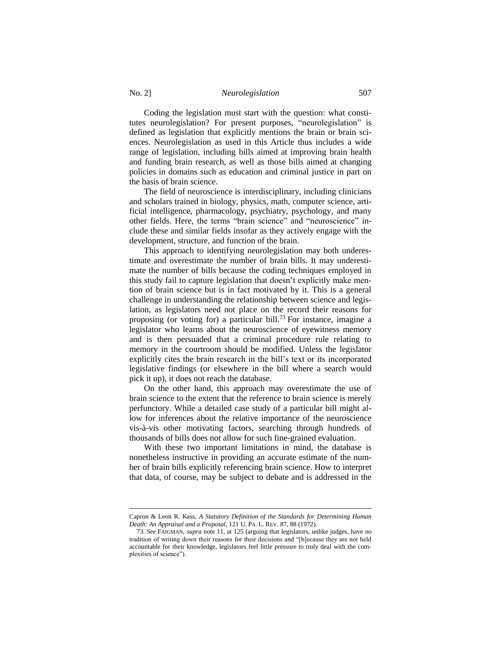Coding the legislation must start with the question: what constitutes neurolegislation? For present purposes, "neurolegislation" is defined as legislation that explicitly mentions the brain or brain sciences. Neurolegislation as used in this Article thus includes a wide range of legislation, including bills aimed at improving brain health and funding brain research, as well as those bills aimed at changing policies in domains such as education and criminal justice in part on the basis of brain science.

The field of neuroscience is interdisciplinary, including clinicians and scholars trained in biology, physics, math, computer science, artificial intelligence, pharmacology, psychiatry, psychology, and many other fields. Here, the terms "brain science" and "neuroscience" include these and similar fields insofar as they actively engage with the development, structure, and function of the brain.

This approach to identifying neurolegislation may both underestimate and overestimate the number of brain bills. It may underestimate the number of bills because the coding techniques employed in this study fail to capture legislation that doesn't explicitly make mention of brain science but is in fact motivated by it. This is a general challenge in understanding the relationship between science and legislation, as legislators need not place on the record their reasons for proposing (or voting for) a particular bill.<sup>73</sup> For instance, imagine a legislator who learns about the neuroscience of eyewitness memory and is then persuaded that a criminal procedure rule relating to memory in the courtroom should be modified. Unless the legislator explicitly cites the brain research in the bill's text or its incorporated legislative findings (or elsewhere in the bill where a search would pick it up), it does not reach the database.

On the other hand, this approach may overestimate the use of brain science to the extent that the reference to brain science is merely perfunctory. While a detailed case study of a particular bill might allow for inferences about the relative importance of the neuroscience vis-à-vis other motivating factors, searching through hundreds of thousands of bills does not allow for such fine-grained evaluation.

With these two important limitations in mind, the database is nonetheless instructive in providing an accurate estimate of the number of brain bills explicitly referencing brain science. How to interpret that data, of course, may be subject to debate and is addressed in the

Capron & Leon R. Kass, *A Statutory Definition of the Standards for Determining Human Death: An Appraisal and a Proposal*, 121 U. PA. L. REV. 87, 88 (1972).

<sup>73.</sup> *See* FAIGMAN, *supra* not[e 11,](#page-2-0) at 125 (arguing that legislators, unlike judges, have no tradition of writing down their reasons for their decisions and "[b]ecause they are not held accountable for their knowledge, legislators feel little pressure to truly deal with the complexities of science").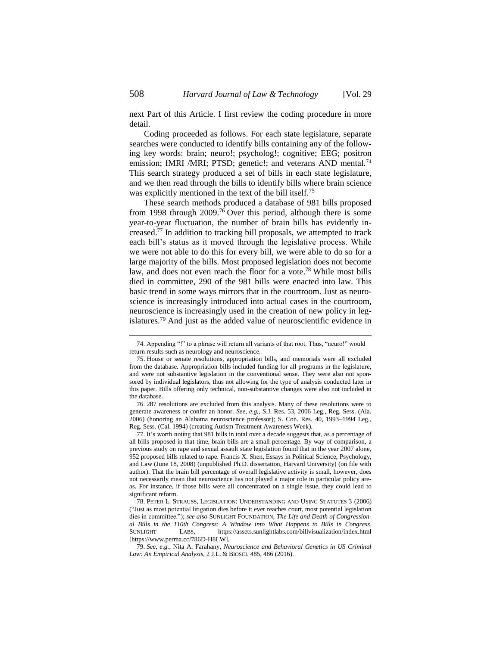next Part of this Article. I first review the coding procedure in more detail.

Coding proceeded as follows. For each state legislature, separate searches were conducted to identify bills containing any of the following key words: brain; neuro!; psycholog!; cognitive; EEG; positron emission; fMRI /MRI; PTSD; genetic!; and veterans AND mental.<sup>74</sup> This search strategy produced a set of bills in each state legislature, and we then read through the bills to identify bills where brain science was explicitly mentioned in the text of the bill itself.<sup>75</sup>

These search methods produced a database of 981 bills proposed from 1998 through 2009. <sup>76</sup> Over this period, although there is some year-to-year fluctuation, the number of brain bills has evidently increased.<sup>77</sup> In addition to tracking bill proposals, we attempted to track each bill's status as it moved through the legislative process. While we were not able to do this for every bill, we were able to do so for a large majority of the bills. Most proposed legislation does not become law, and does not even reach the floor for a vote.<sup>78</sup> While most bills died in committee, 290 of the 981 bills were enacted into law. This basic trend in some ways mirrors that in the courtroom. Just as neuroscience is increasingly introduced into actual cases in the courtroom, neuroscience is increasingly used in the creation of new policy in legislatures.<sup>79</sup> And just as the added value of neuroscientific evidence in

<sup>74.</sup> Appending "!" to a phrase will return all variants of that root. Thus, "neuro!" would return results such as neurology and neuroscience.

<sup>75.</sup> House or senate resolutions, appropriation bills, and memorials were all excluded from the database. Appropriation bills included funding for all programs in the legislature, and were not substantive legislation in the conventional sense. They were also not sponsored by individual legislators, thus not allowing for the type of analysis conducted later in this paper. Bills offering only technical, non-substantive changes were also not included in the database.

<sup>76.</sup> 287 resolutions are excluded from this analysis. Many of these resolutions were to generate awareness or confer an honor. *See, e.g.*, S.J. Res. 53, 2006 Leg., Reg. Sess. (Ala. 2006) (honoring an Alabama neuroscience professor); S. Con. Res. 40, 1993–1994 Leg., Reg. Sess. (Cal. 1994) (creating Autism Treatment Awareness Week).

<sup>77.</sup> It's worth noting that 981 bills in total over a decade suggests that, as a percentage of all bills proposed in that time, brain bills are a small percentage. By way of comparison, a previous study on rape and sexual assault state legislation found that in the year 2007 alone, 952 proposed bills related to rape. Francis X. Shen, Essays in Political Science, Psychology, and Law (June 18, 2008) (unpublished Ph.D. dissertation, Harvard University) (on file with author). That the brain bill percentage of overall legislative activity is small, however, does not necessarily mean that neuroscience has not played a major role in particular policy areas. For instance, if those bills were all concentrated on a single issue, they could lead to significant reform.

<sup>78.</sup> PETER L. STRAUSS, LEGISLATION: UNDERSTANDING AND USING STATUTES 3 (2006) ("Just as most potential litigation dies before it ever reaches court, most potential legislation dies in committee."); *see also* SUNLIGHT FOUNDATION, *The Life and Death of Congressional Bills in the 110th Congress*: *A Window into What Happens to Bills in Congress*, SUNLIGHT LABS, https://assets.sunlightlabs.com/billvisualization/index.html [https://www.perma.cc/786D-H8LW].

<sup>79.</sup> *See, e.g.*, Nita A. Farahany, *Neuroscience and Behavioral Genetics in US Criminal Law: An Empirical Analysis*, 2 J.L. & BIOSCI. 485, 486 (2016).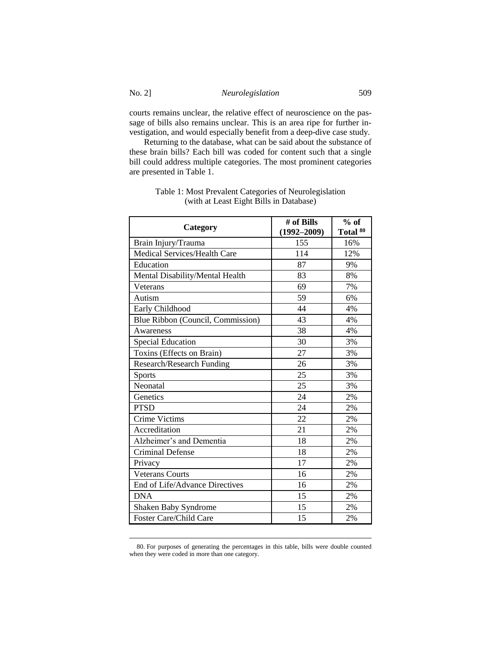courts remains unclear, the relative effect of neuroscience on the passage of bills also remains unclear. This is an area ripe for further investigation, and would especially benefit from a deep-dive case study.

Returning to the database, what can be said about the substance of these brain bills? Each bill was coded for content such that a single bill could address multiple categories. The most prominent categories are presented in Table 1.

| Category                          | # of Bills<br>$(1992 - 2009)$ | $%$ of<br>Total <sup>80</sup> |
|-----------------------------------|-------------------------------|-------------------------------|
| Brain Injury/Trauma               | 155                           | 16%                           |
| Medical Services/Health Care      | 114                           | 12%                           |
| Education                         | 87                            | 9%                            |
| Mental Disability/Mental Health   | 83                            | 8%                            |
| Veterans                          | 69                            | 7%                            |
| Autism                            | 59                            | 6%                            |
| Early Childhood                   | 44                            | 4%                            |
| Blue Ribbon (Council, Commission) | 43                            | 4%                            |
| Awareness                         | 38                            | 4%                            |
| <b>Special Education</b>          | 30                            | 3%                            |
| Toxins (Effects on Brain)         | 27                            | 3%                            |
| Research/Research Funding         | 26                            | 3%                            |
| <b>Sports</b>                     | 25                            | 3%                            |
| Neonatal                          | 25                            | 3%                            |
| Genetics                          | 24                            | 2%                            |
| <b>PTSD</b>                       | 24                            | 2%                            |
| <b>Crime Victims</b>              | 22                            | 2%                            |
| Accreditation                     | 21                            | 2%                            |
| Alzheimer's and Dementia          | 18                            | 2%                            |
| <b>Criminal Defense</b>           | 18                            | 2%                            |
| Privacy                           | 17                            | 2%                            |
| <b>Veterans Courts</b>            | 16                            | 2%                            |
| End of Life/Advance Directives    | 16                            | 2%                            |
| <b>DNA</b>                        | 15                            | 2%                            |
| Shaken Baby Syndrome              | 15                            | 2%                            |
| <b>Foster Care/Child Care</b>     | 15                            | 2%                            |

# Table 1: Most Prevalent Categories of Neurolegislation (with at Least Eight Bills in Database)

<sup>80.</sup> For purposes of generating the percentages in this table, bills were double counted when they were coded in more than one category.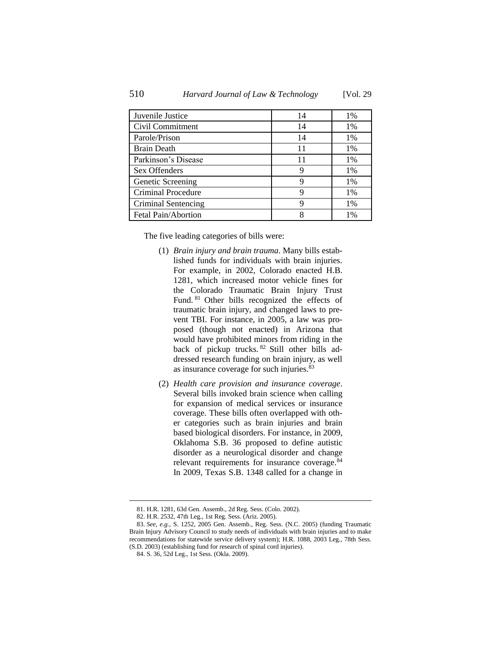| Juvenile Justice    | 14 | 1%    |
|---------------------|----|-------|
| Civil Commitment    | 14 | 1%    |
| Parole/Prison       | 14 | 1%    |
| <b>Brain Death</b>  | 11 | 1%    |
| Parkinson's Disease | 11 | 1%    |
| Sex Offenders       | g  | $1\%$ |
| Genetic Screening   | 9  | 1%    |
| Criminal Procedure  | 9  | $1\%$ |
| Criminal Sentencing |    | 1%    |
| Fetal Pain/Abortion |    | 1%    |

The five leading categories of bills were:

- (1) *Brain injury and brain trauma*. Many bills established funds for individuals with brain injuries. For example, in 2002, Colorado enacted H.B. 1281, which increased motor vehicle fines for the Colorado Traumatic Brain Injury Trust Fund. <sup>81</sup> Other bills recognized the effects of traumatic brain injury, and changed laws to prevent TBI. For instance, in 2005, a law was proposed (though not enacted) in Arizona that would have prohibited minors from riding in the back of pickup trucks. <sup>82</sup> Still other bills addressed research funding on brain injury, as well as insurance coverage for such injuries.<sup>83</sup>
- (2) *Health care provision and insurance coverage*. Several bills invoked brain science when calling for expansion of medical services or insurance coverage. These bills often overlapped with other categories such as brain injuries and brain based biological disorders. For instance, in 2009, Oklahoma S.B. 36 proposed to define autistic disorder as a neurological disorder and change relevant requirements for insurance coverage.<sup>84</sup> In 2009, Texas S.B. 1348 called for a change in

<sup>81.</sup> H.R. 1281, 63d Gen. Assemb., 2d Reg. Sess. (Colo. 2002).

<sup>82.</sup> H.R. 2532, 47th Leg., 1st Reg. Sess. (Ariz. 2005).

<sup>83.</sup> *See, e.g.*, S. 1252, 2005 Gen. Assemb., Reg. Sess. (N.C. 2005) (funding Traumatic Brain Injury Advisory Council to study needs of individuals with brain injuries and to make recommendations for statewide service delivery system); H.R. 1088, 2003 Leg., 78th Sess. (S.D. 2003) (establishing fund for research of spinal cord injuries).

<sup>84.</sup> S. 36, 52d Leg., 1st Sess. (Okla. 2009).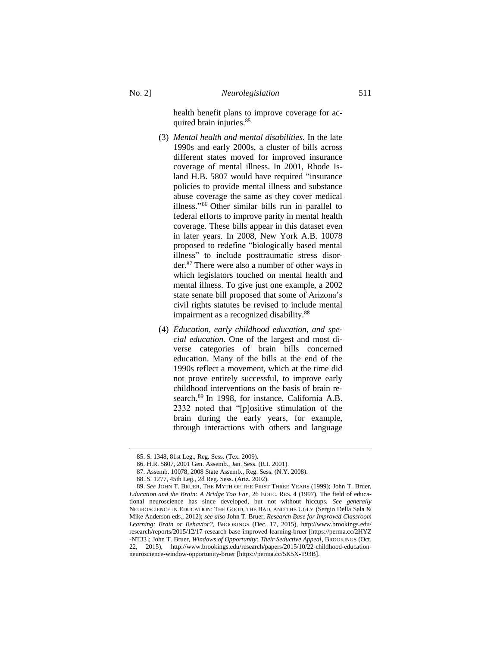health benefit plans to improve coverage for acquired brain injuries.<sup>85</sup>

- (3) *Mental health and mental disabilities.* In the late 1990s and early 2000s, a cluster of bills across different states moved for improved insurance coverage of mental illness. In 2001, Rhode Island H.B. 5807 would have required "insurance policies to provide mental illness and substance abuse coverage the same as they cover medical illness." <sup>86</sup> Other similar bills run in parallel to federal efforts to improve parity in mental health coverage. These bills appear in this dataset even in later years. In 2008, New York A.B. 10078 proposed to redefine "biologically based mental illness" to include posttraumatic stress disorder. <sup>87</sup> There were also a number of other ways in which legislators touched on mental health and mental illness. To give just one example, a 2002 state senate bill proposed that some of Arizona's civil rights statutes be revised to include mental impairment as a recognized disability.<sup>88</sup>
- (4) *Education, early childhood education, and special education*. One of the largest and most diverse categories of brain bills concerned education. Many of the bills at the end of the 1990s reflect a movement, which at the time did not prove entirely successful, to improve early childhood interventions on the basis of brain research.<sup>89</sup> In 1998, for instance, California A.B. 2332 noted that "[p]ositive stimulation of the brain during the early years, for example, through interactions with others and language

<sup>85.</sup> S. 1348, 81st Leg., Reg. Sess. (Tex. 2009).

<sup>86.</sup> H.R. 5807, 2001 Gen. Assemb., Jan. Sess. (R.I. 2001).

<sup>87.</sup> Assemb. 10078, 2008 State Assemb., Reg. Sess. (N.Y. 2008).

<sup>88.</sup> S. 1277, 45th Leg., 2d Reg. Sess. (Ariz. 2002).

<sup>89.</sup> *See* JOHN T. BRUER, THE MYTH OF THE FIRST THREE YEARS (1999); John T. Bruer, *Education and the Brain: A Bridge Too Far*, 26 EDUC. RES. 4 (1997). The field of educational neuroscience has since developed, but not without hiccups. *See generally*  NEUROSCIENCE IN EDUCATION: THE GOOD, THE BAD, AND THE UGLY (Sergio Della Sala & Mike Anderson eds., 2012); *see also* John T. Bruer, *Research Base for Improved Classroom Learning: Brain or Behavior?*, BROOKINGS (Dec. 17, 2015), http://www.brookings.edu/ research/reports/2015/12/17-research-base-improved-learning-bruer [https://perma.cc/2HYZ -NT33]; John T. Bruer, *Windows of Opportunity: Their Seductive Appeal*, BROOKINGS (Oct. 22, 2015), http://www.brookings.edu/research/papers/2015/10/22-childhood-educationneuroscience-window-opportunity-bruer [https://perma.cc/5K5X-T93B].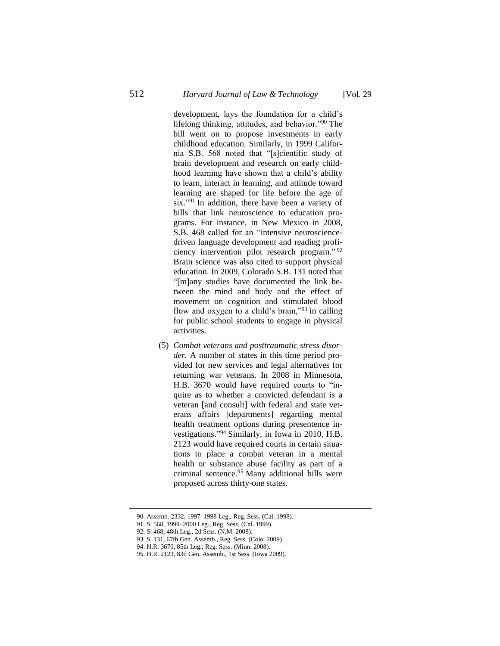development, lays the foundation for a child's lifelong thinking, attitudes, and behavior."<sup>90</sup> The bill went on to propose investments in early childhood education. Similarly, in 1999 California S.B. 568 noted that "[s]cientific study of brain development and research on early childhood learning have shown that a child's ability to learn, interact in learning, and attitude toward learning are shaped for life before the age of six."<sup>91</sup> In addition, there have been a variety of bills that link neuroscience to education programs. For instance, in New Mexico in 2008, S.B. 468 called for an "intensive neurosciencedriven language development and reading proficiency intervention pilot research program." <sup>92</sup> Brain science was also cited to support physical education. In 2009, Colorado S.B. 131 noted that "[m]any studies have documented the link between the mind and body and the effect of movement on cognition and stimulated blood flow and oxygen to a child's brain,"<sup>93</sup> in calling for public school students to engage in physical activities.

(5) *Combat veterans and posttraumatic stress disorder.* A number of states in this time period provided for new services and legal alternatives for returning war veterans. In 2008 in Minnesota, H.B. 3670 would have required courts to "inquire as to whether a convicted defendant is a veteran [and consult] with federal and state veterans affairs [departments] regarding mental health treatment options during presentence investigations." <sup>94</sup> Similarly, in Iowa in 2010, H.B. 2123 would have required courts in certain situations to place a combat veteran in a mental health or substance abuse facility as part of a criminal sentence. <sup>95</sup> Many additional bills were proposed across thirty-one states.

<sup>90.</sup> Assemb. 2332, 1997–1998 Leg., Reg. Sess. (Cal. 1998).

<sup>91.</sup> S. 568, 1999–2000 Leg., Reg. Sess. (Cal. 1999).

<sup>92.</sup> S. 468, 48th Leg., 2d Sess. (N.M. 2008).

<sup>93.</sup> S. 131, 67th Gen. Assemb., Reg. Sess. (Colo. 2009).

<sup>94.</sup> H.R. 3670, 85th Leg., Reg. Sess. (Minn. 2008).

<sup>95.</sup> H.R. 2123, 83d Gen. Assemb., 1st Sess. (Iowa 2009).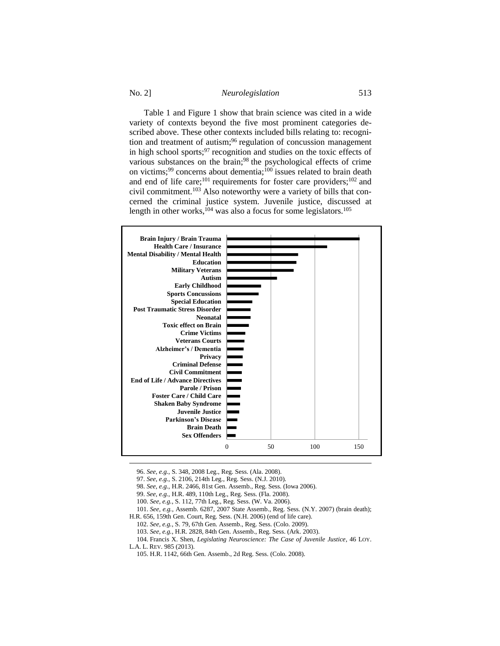No. 2] *Neurolegislation* 513

Table 1 and Figure [1](#page-19-0) show that brain science was cited in a wide variety of contexts beyond the five most prominent categories described above. These other contexts included bills relating to: recognition and treatment of autism; <sup>96</sup> regulation of concussion management in high school sports;  $97$  recognition and studies on the toxic effects of various substances on the brain;<sup>98</sup> the psychological effects of crime on victims;<sup>99</sup> concerns about dementia;<sup>100</sup> issues related to brain death and end of life care;<sup>101</sup> requirements for foster care providers;<sup>102</sup> and civil commitment.<sup>103</sup> Also noteworthy were a variety of bills that concerned the criminal justice system. Juvenile justice, discussed at length in other works, $^{104}$  was also a focus for some legislators.<sup>105</sup>

<span id="page-18-0"></span>

96. *See, e.g.*, S. 348, 2008 Leg., Reg. Sess. (Ala. 2008).

<sup>97.</sup> *See, e.g.*, S. 2106, 214th Leg., Reg. Sess. (N.J. 2010).

<sup>98.</sup> *See, e.g.*, H.R. 2466, 81st Gen. Assemb., Reg. Sess. (Iowa 2006).

<sup>99.</sup> *See, e.g.*, H.R. 489, 110th Leg., Reg. Sess. (Fla. 2008).

<sup>100.</sup> *See, e.g.*, S. 112, 77th Leg., Reg. Sess. (W. Va. 2006).

<sup>101.</sup> *See, e.g.*, Assemb. 6287, 2007 State Assemb., Reg. Sess. (N.Y. 2007) (brain death);

H.R. 656, 159th Gen. Court, Reg. Sess. (N.H. 2006) (end of life care).

<sup>102.</sup> *See, e.g.*, S. 79, 67th Gen. Assemb., Reg. Sess. (Colo. 2009).

<sup>103.</sup> *See, e.g.*, H.R. 2828, 84th Gen. Assemb., Reg. Sess. (Ark. 2003).

<sup>104.</sup> Francis X. Shen, *Legislating Neuroscience: The Case of Juvenile Justice*, 46 LOY. L.A. L. REV. 985 (2013).

<sup>105.</sup> H.R. 1142, 66th Gen. Assemb., 2d Reg. Sess. (Colo. 2008).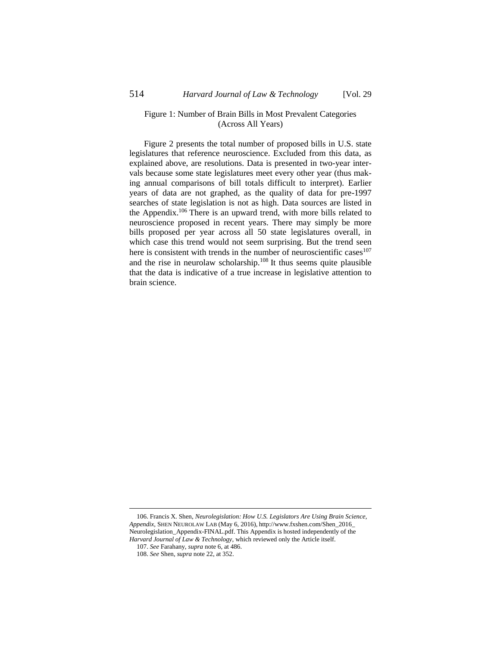### <span id="page-19-0"></span>Figure 1: Number of Brain Bills in Most Prevalent Categories (Across All Years)

<span id="page-19-1"></span>Figure [2](#page-20-0) presents the total number of proposed bills in U.S. state legislatures that reference neuroscience. Excluded from this data, as explained above, are resolutions. Data is presented in two-year intervals because some state legislatures meet every other year (thus making annual comparisons of bill totals difficult to interpret). Earlier years of data are not graphed, as the quality of data for pre-1997 searches of state legislation is not as high. Data sources are listed in the Appendix. <sup>106</sup> There is an upward trend, with more bills related to neuroscience proposed in recent years. There may simply be more bills proposed per year across all 50 state legislatures overall, in which case this trend would not seem surprising. But the trend seen here is consistent with trends in the number of neuroscientific cases $107$ and the rise in neurolaw scholarship. $108$  It thus seems quite plausible that the data is indicative of a true increase in legislative attention to brain science.

<sup>106.</sup> Francis X. Shen, *Neurolegislation: How U.S. Legislators Are Using Brain Science, Appendix*, SHEN NEUROLAW LAB (May 6, 2016), http://www.fxshen.com/Shen\_2016\_ Neurolegislation\_Appendix-FINAL.pdf. This Appendix is hosted independently of the *Harvard Journal of Law & Technology*, which reviewed only the Article itself.

<sup>107.</sup> *See* Farahany, *supra* not[e 6,](#page-1-2) at 486. 108. *See* Shen, *supra* not[e 22,](#page-4-1) at 352.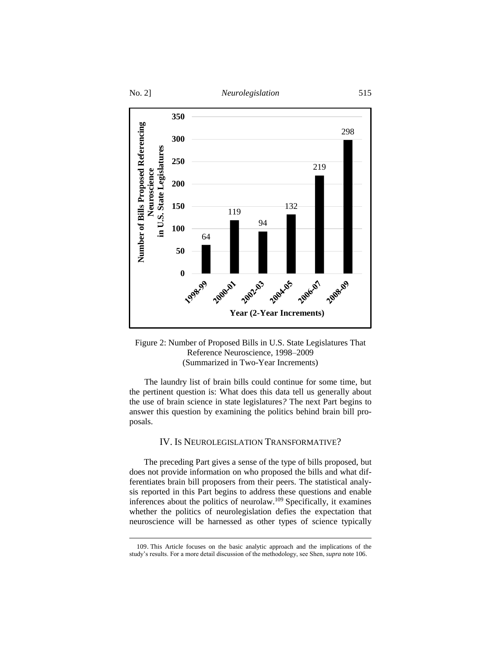

## <span id="page-20-0"></span>Figure 2: Number of Proposed Bills in U.S. State Legislatures That Reference Neuroscience, 1998–2009 (Summarized in Two-Year Increments)

 The laundry list of brain bills could continue for some time, but the pertinent question is: What does this data tell us generally about the use of brain science in state legislatures*?* The next Part begins to answer this question by examining the politics behind brain bill proposals.

# IV. IS NEUROLEGISLATION TRANSFORMATIVE?

The preceding Part gives a sense of the type of bills proposed, but does not provide information on who proposed the bills and what differentiates brain bill proposers from their peers. The statistical analysis reported in this Part begins to address these questions and enable inferences about the politics of neurolaw.<sup>109</sup> Specifically, it examines whether the politics of neurolegislation defies the expectation that neuroscience will be harnessed as other types of science typically

<sup>109.</sup> This Article focuses on the basic analytic approach and the implications of the study's results. For a more detail discussion of the methodology, see Shen, *supra* not[e 106.](#page-19-1)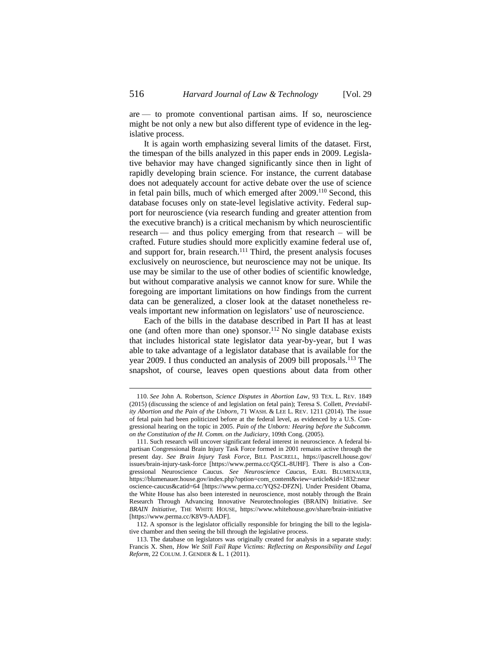are — to promote conventional partisan aims. If so, neuroscience might be not only a new but also different type of evidence in the legislative process.

It is again worth emphasizing several limits of the dataset. First, the timespan of the bills analyzed in this paper ends in 2009. Legislative behavior may have changed significantly since then in light of rapidly developing brain science. For instance, the current database does not adequately account for active debate over the use of science in fetal pain bills, much of which emerged after 2009.<sup>110</sup> Second, this database focuses only on state-level legislative activity. Federal support for neuroscience (via research funding and greater attention from the executive branch) is a critical mechanism by which neuroscientific research — and thus policy emerging from that research – will be crafted. Future studies should more explicitly examine federal use of, and support for, brain research.<sup>111</sup> Third, the present analysis focuses exclusively on neuroscience, but neuroscience may not be unique. Its use may be similar to the use of other bodies of scientific knowledge, but without comparative analysis we cannot know for sure. While the foregoing are important limitations on how findings from the current data can be generalized, a closer look at the dataset nonetheless reveals important new information on legislators' use of neuroscience.

Each of the bills in the database described in Part II has at least one (and often more than one) sponsor.<sup>112</sup> No single database exists that includes historical state legislator data year-by-year, but I was able to take advantage of a legislator database that is available for the year 2009. I thus conducted an analysis of 2009 bill proposals.<sup>113</sup> The snapshot, of course, leaves open questions about data from other

<sup>110.</sup> *See* John A. Robertson, *Science Disputes in Abortion Law*, 93 TEX. L. REV. 1849 (2015) (discussing the science of and legislation on fetal pain); Teresa S. Collett, *Previability Abortion and the Pain of the Unborn*, 71 WASH. & LEE L. REV. 1211 (2014). The issue of fetal pain had been politicized before at the federal level, as evidenced by a U.S. Congressional hearing on the topic in 2005. *Pain of the Unborn: Hearing before the Subcomm. on the Constitution of the H. Comm. on the Judiciary*, 109th Cong. (2005).

<sup>111.</sup> Such research will uncover significant federal interest in neuroscience. A federal bipartisan Congressional Brain Injury Task Force formed in 2001 remains active through the present day. *See Brain Injury Task Force*, BILL PASCRELL, https://pascrell.house.gov/ issues/brain-injury-task-force [https://www.perma.cc/Q5CL-8UHF]. There is also a Congressional Neuroscience Caucus. *See Neuroscience Caucus*, EARL BLUMENAUER, https://blumenauer.house.gov/index.php?option=com\_content&view=article&id=1832:neur oscience-caucus&catid=64 [https://www.perma.cc/YQS2-DFZN]. Under President Obama, the White House has also been interested in neuroscience, most notably through the Brain Research Through Advancing Innovative Neurotechnologies (BRAIN) Initiative. *See BRAIN Initiative*, THE WHITE HOUSE, https://www.whitehouse.gov/share/brain-initiative [https://www.perma.cc/K8V9-AADF].

<sup>112.</sup> A sponsor is the legislator officially responsible for bringing the bill to the legislative chamber and then seeing the bill through the legislative process.

<sup>113.</sup> The database on legislators was originally created for analysis in a separate study: Francis X. Shen, *How We Still Fail Rape Victims: Reflecting on Responsibility and Legal Reform.* 22 COLUM. J. GENDER & L. 1 (2011).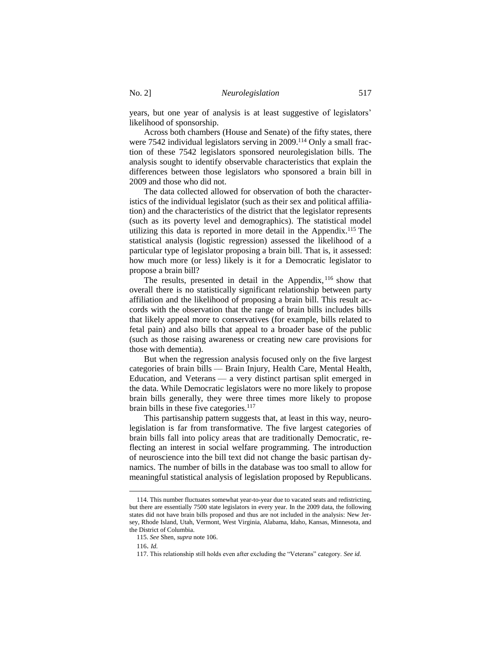years, but one year of analysis is at least suggestive of legislators' likelihood of sponsorship.

Across both chambers (House and Senate) of the fifty states, there were 7542 individual legislators serving in 2009.<sup>114</sup> Only a small fraction of these 7542 legislators sponsored neurolegislation bills. The analysis sought to identify observable characteristics that explain the differences between those legislators who sponsored a brain bill in 2009 and those who did not.

The data collected allowed for observation of both the characteristics of the individual legislator (such as their sex and political affiliation) and the characteristics of the district that the legislator represents (such as its poverty level and demographics). The statistical model utilizing this data is reported in more detail in the Appendix. <sup>115</sup> The statistical analysis (logistic regression) assessed the likelihood of a particular type of legislator proposing a brain bill. That is, it assessed: how much more (or less) likely is it for a Democratic legislator to propose a brain bill?

The results, presented in detail in the Appendix, <sup>116</sup> show that overall there is no statistically significant relationship between party affiliation and the likelihood of proposing a brain bill. This result accords with the observation that the range of brain bills includes bills that likely appeal more to conservatives (for example, bills related to fetal pain) and also bills that appeal to a broader base of the public (such as those raising awareness or creating new care provisions for those with dementia).

But when the regression analysis focused only on the five largest categories of brain bills — Brain Injury, Health Care, Mental Health, Education, and Veterans — a very distinct partisan split emerged in the data. While Democratic legislators were no more likely to propose brain bills generally, they were three times more likely to propose brain bills in these five categories.<sup>117</sup>

This partisanship pattern suggests that, at least in this way, neurolegislation is far from transformative. The five largest categories of brain bills fall into policy areas that are traditionally Democratic, reflecting an interest in social welfare programming. The introduction of neuroscience into the bill text did not change the basic partisan dynamics. The number of bills in the database was too small to allow for meaningful statistical analysis of legislation proposed by Republicans.

<sup>114.</sup> This number fluctuates somewhat year-to-year due to vacated seats and redistricting, but there are essentially 7500 state legislators in every year. In the 2009 data, the following states did not have brain bills proposed and thus are not included in the analysis: New Jersey, Rhode Island, Utah, Vermont, West Virginia, Alabama, Idaho, Kansas, Minnesota, and the District of Columbia.

<sup>115.</sup> *See* Shen, *supra* not[e 106.](#page-19-1) 

<sup>116</sup>. *Id.*

<sup>117.</sup> This relationship still holds even after excluding the "Veterans" category. *See id.*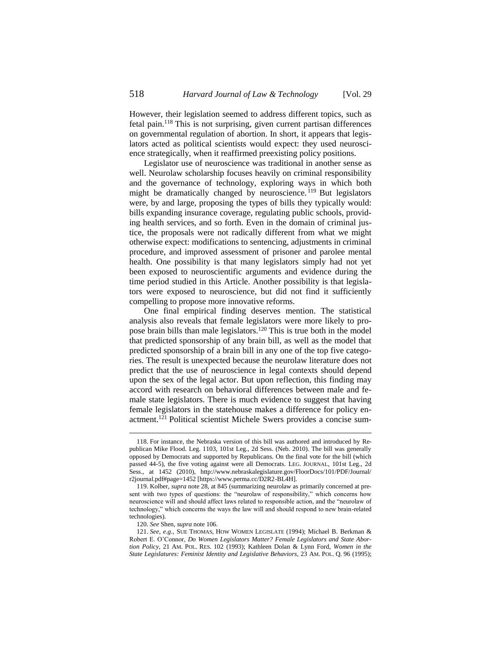However, their legislation seemed to address different topics, such as fetal pain.<sup>118</sup> This is not surprising, given current partisan differences on governmental regulation of abortion. In short, it appears that legislators acted as political scientists would expect: they used neuroscience strategically, when it reaffirmed preexisting policy positions.

Legislator use of neuroscience was traditional in another sense as well. Neurolaw scholarship focuses heavily on criminal responsibility and the governance of technology, exploring ways in which both might be dramatically changed by neuroscience. <sup>119</sup> But legislators were, by and large, proposing the types of bills they typically would: bills expanding insurance coverage, regulating public schools, providing health services, and so forth. Even in the domain of criminal justice, the proposals were not radically different from what we might otherwise expect: modifications to sentencing, adjustments in criminal procedure, and improved assessment of prisoner and parolee mental health. One possibility is that many legislators simply had not yet been exposed to neuroscientific arguments and evidence during the time period studied in this Article. Another possibility is that legislators were exposed to neuroscience, but did not find it sufficiently compelling to propose more innovative reforms.

One final empirical finding deserves mention. The statistical analysis also reveals that female legislators were more likely to propose brain bills than male legislators. <sup>120</sup> This is true both in the model that predicted sponsorship of any brain bill, as well as the model that predicted sponsorship of a brain bill in any one of the top five categories. The result is unexpected because the neurolaw literature does not predict that the use of neuroscience in legal contexts should depend upon the sex of the legal actor. But upon reflection, this finding may accord with research on behavioral differences between male and female state legislators. There is much evidence to suggest that having female legislators in the statehouse makes a difference for policy enactment.<sup>121</sup> Political scientist Michele Swers provides a concise sum-

120. *See* Shen, *supra* not[e 106.](#page-19-1)

<span id="page-23-0"></span><sup>118.</sup> For instance, the Nebraska version of this bill was authored and introduced by Republican Mike Flood. Leg. 1103, 101st Leg., 2d Sess. (Neb. 2010). The bill was generally opposed by Democrats and supported by Republicans. On the final vote for the bill (which passed 44-5), the five voting against were all Democrats. LEG. JOURNAL, 101st Leg., 2d Sess., at 1452 (2010), http://www.nebraskalegislature.gov/FloorDocs/101/PDF/Journal/ r2journal.pdf#page=1452 [https://www.perma.cc/D2R2-BL4H].

<sup>119.</sup> Kolber, *supra* not[e 28,](#page-5-0) at 845 (summarizing neurolaw as primarily concerned at present with two types of questions: the "neurolaw of responsibility," which concerns how neuroscience will and should affect laws related to responsible action, and the "neurolaw of technology," which concerns the ways the law will and should respond to new brain-related technologies).

<sup>121.</sup> *See, e.g.*, SUE THOMAS, HOW WOMEN LEGISLATE (1994); Michael B. Berkman & Robert E. O'Connor, *Do Women Legislators Matter? Female Legislators and State Abortion Policy*, 21 AM. POL. RES. 102 (1993); Kathleen Dolan & Lynn Ford, *Women in the State Legislatures: Feminist Identity and Legislative Behaviors*, 23 AM. POL. Q. 96 (1995);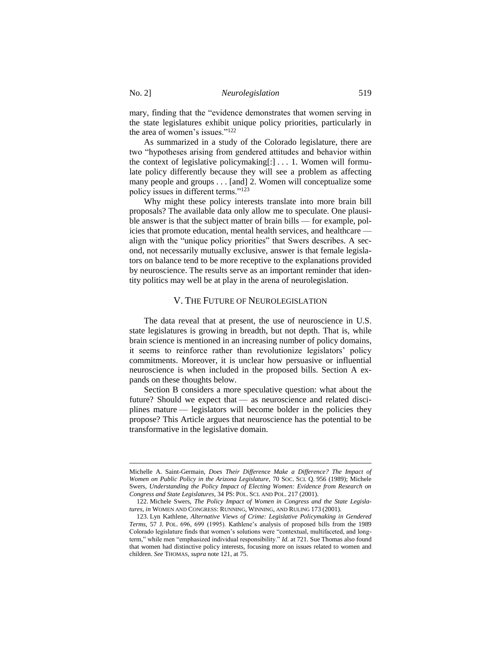mary, finding that the "evidence demonstrates that women serving in the state legislatures exhibit unique policy priorities, particularly in the area of women's issues."<sup>122</sup>

As summarized in a study of the Colorado legislature, there are two "hypotheses arising from gendered attitudes and behavior within the context of legislative policymaking[:] . . . 1. Women will formulate policy differently because they will see a problem as affecting many people and groups . . . [and] 2. Women will conceptualize some policy issues in different terms."<sup>123</sup>

Why might these policy interests translate into more brain bill proposals? The available data only allow me to speculate. One plausible answer is that the subject matter of brain bills — for example, policies that promote education, mental health services, and healthcare align with the "unique policy priorities" that Swers describes. A second, not necessarily mutually exclusive, answer is that female legislators on balance tend to be more receptive to the explanations provided by neuroscience. The results serve as an important reminder that identity politics may well be at play in the arena of neurolegislation.

## V. THE FUTURE OF NEUROLEGISLATION

The data reveal that at present, the use of neuroscience in U.S. state legislatures is growing in breadth, but not depth. That is, while brain science is mentioned in an increasing number of policy domains, it seems to reinforce rather than revolutionize legislators' policy commitments. Moreover, it is unclear how persuasive or influential neuroscience is when included in the proposed bills. Section A expands on these thoughts below.

Section B considers a more speculative question: what about the future? Should we expect that — as neuroscience and related disciplines mature — legislators will become bolder in the policies they propose? This Article argues that neuroscience has the potential to be transformative in the legislative domain.

Michelle A. Saint-Germain, *Does Their Difference Make a Difference? The Impact of Women on Public Policy in the Arizona Legislature*, 70 SOC. SCI. Q. 956 (1989); Michele Swers, *Understanding the Policy Impact of Electing Women: Evidence from Research on Congress and State Legislatures*, 34 PS: POL. SCI. AND POL. 217 (2001).

<sup>122.</sup> Michele Swers, *The Policy Impact of Women in Congress and the State Legislatures*, *in* WOMEN AND CONGRESS: RUNNING, WINNING, AND RULING 173 (2001).

<sup>123.</sup> Lyn Kathlene, *Alternative Views of Crime: Legislative Policymaking in Gendered Terms*, 57 J. POL. 696, 699 (1995). Kathlene's analysis of proposed bills from the 1989 Colorado legislature finds that women's solutions were "contextual, multifaceted, and longterm," while men "emphasized individual responsibility." *Id.* at 721. Sue Thomas also found that women had distinctive policy interests, focusing more on issues related to women and children. *See* THOMAS, *supra* note [121,](#page-23-0) at 75.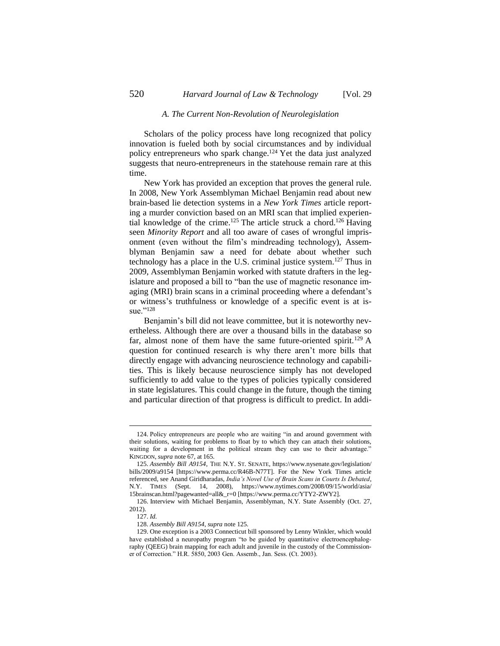#### *A. The Current Non-Revolution of Neurolegislation*

Scholars of the policy process have long recognized that policy innovation is fueled both by social circumstances and by individual policy entrepreneurs who spark change.<sup>124</sup> Yet the data just analyzed suggests that neuro-entrepreneurs in the statehouse remain rare at this time.

<span id="page-25-0"></span>New York has provided an exception that proves the general rule. In 2008, New York Assemblyman Michael Benjamin read about new brain-based lie detection systems in a *New York Times* article reporting a murder conviction based on an MRI scan that implied experiential knowledge of the crime.<sup>125</sup> The article struck a chord.<sup>126</sup> Having seen *Minority Report* and all too aware of cases of wrongful imprisonment (even without the film's mindreading technology), Assemblyman Benjamin saw a need for debate about whether such technology has a place in the U.S. criminal justice system. <sup>127</sup> Thus in 2009, Assemblyman Benjamin worked with statute drafters in the legislature and proposed a bill to "ban the use of magnetic resonance imaging (MRI) brain scans in a criminal proceeding where a defendant's or witness's truthfulness or knowledge of a specific event is at issue."128

Benjamin's bill did not leave committee, but it is noteworthy nevertheless. Although there are over a thousand bills in the database so far, almost none of them have the same future-oriented spirit.<sup>129</sup> A question for continued research is why there aren't more bills that directly engage with advancing neuroscience technology and capabilities. This is likely because neuroscience simply has not developed sufficiently to add value to the types of policies typically considered in state legislatures. This could change in the future, though the timing and particular direction of that progress is difficult to predict. In addi-

<sup>124.</sup> Policy entrepreneurs are people who are waiting "in and around government with their solutions, waiting for problems to float by to which they can attach their solutions, waiting for a development in the political stream they can use to their advantage." KINGDON, *supra* not[e 67,](#page-11-0) at 165.

<sup>125.</sup> *Assembly Bill A9154*, THE N.Y. ST. SENATE, https://www.nysenate.gov/legislation/ bills/2009/a9154 [https://www.perma.cc/R46B-N77T]. For the New York Times article referenced, see Anand Giridharadas, *India's Novel Use of Brain Scans in Courts Is Debated*, N.Y. TIMES (Sept. 14, 2008), https://www.nytimes.com/2008/09/15/world/asia/ 15brainscan.html?pagewanted=all&\_r=0 [https://www.perma.cc/YTY2-ZWY2].

<sup>126.</sup> Interview with Michael Benjamin, Assemblyman, N.Y. State Assembly (Oct. 27, 2012).

<sup>127.</sup> *Id.*

<sup>128.</sup> *Assembly Bill A9154*, *supra* note [125.](#page-25-0)

<sup>129.</sup> One exception is a 2003 Connecticut bill sponsored by Lenny Winkler, which would have established a neuropathy program "to be guided by quantitative electroencephalography (QEEG) brain mapping for each adult and juvenile in the custody of the Commissioner of Correction." H.R. 5850, 2003 Gen. Assemb., Jan. Sess. (Ct. 2003).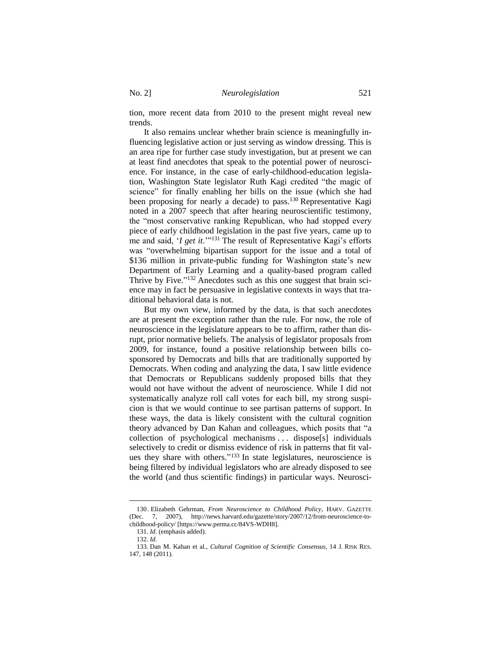tion, more recent data from 2010 to the present might reveal new trends.

It also remains unclear whether brain science is meaningfully influencing legislative action or just serving as window dressing. This is an area ripe for further case study investigation, but at present we can at least find anecdotes that speak to the potential power of neuroscience. For instance, in the case of early-childhood-education legislation, Washington State legislator Ruth Kagi credited "the magic of science" for finally enabling her bills on the issue (which she had been proposing for nearly a decade) to pass.<sup>130</sup> Representative Kagi noted in a 2007 speech that after hearing neuroscientific testimony, the "most conservative ranking Republican, who had stopped every piece of early childhood legislation in the past five years, came up to me and said, '*I get it*.'"<sup>131</sup> The result of Representative Kagi's efforts was "overwhelming bipartisan support for the issue and a total of \$136 million in private-public funding for Washington state's new Department of Early Learning and a quality-based program called Thrive by Five."<sup>132</sup> Anecdotes such as this one suggest that brain science may in fact be persuasive in legislative contexts in ways that traditional behavioral data is not.

But my own view, informed by the data, is that such anecdotes are at present the exception rather than the rule. For now, the role of neuroscience in the legislature appears to be to affirm, rather than disrupt, prior normative beliefs. The analysis of legislator proposals from 2009, for instance, found a positive relationship between bills cosponsored by Democrats and bills that are traditionally supported by Democrats. When coding and analyzing the data, I saw little evidence that Democrats or Republicans suddenly proposed bills that they would not have without the advent of neuroscience. While I did not systematically analyze roll call votes for each bill, my strong suspicion is that we would continue to see partisan patterns of support. In these ways, the data is likely consistent with the cultural cognition theory advanced by Dan Kahan and colleagues, which posits that "a collection of psychological mechanisms . . . dispose[s] individuals selectively to credit or dismiss evidence of risk in patterns that fit values they share with others." <sup>133</sup> In state legislatures, neuroscience is being filtered by individual legislators who are already disposed to see the world (and thus scientific findings) in particular ways. Neurosci-

<sup>130</sup> . Elizabeth Gehrman, *From Neuroscience to Childhood Policy*, HARV. GAZETTE (Dec. 7, 2007), http://news.harvard.edu/gazette/story/2007/12/from-neuroscience-tochildhood-policy/ [https://www.perma.cc/84VS-WDH8].

<sup>131.</sup> *Id*. (emphasis added).

<sup>132.</sup> *Id.* 

<sup>133.</sup> Dan M. Kahan et al., *Cultural Cognition of Scientific Consensus*, 14 J. RISK RES. 147, 148 (2011).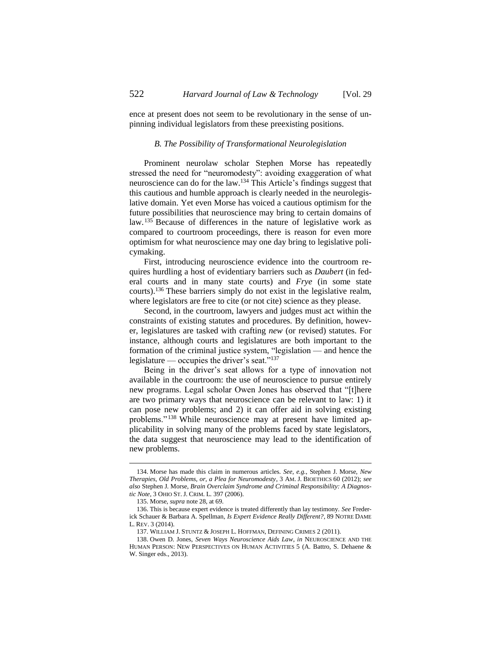ence at present does not seem to be revolutionary in the sense of unpinning individual legislators from these preexisting positions.

#### *B. The Possibility of Transformational Neurolegislation*

Prominent neurolaw scholar Stephen Morse has repeatedly stressed the need for "neuromodesty": avoiding exaggeration of what neuroscience can do for the law.<sup>134</sup> This Article's findings suggest that this cautious and humble approach is clearly needed in the neurolegislative domain. Yet even Morse has voiced a cautious optimism for the future possibilities that neuroscience may bring to certain domains of law.<sup>135</sup> Because of differences in the nature of legislative work as compared to courtroom proceedings, there is reason for even more optimism for what neuroscience may one day bring to legislative policymaking.

First, introducing neuroscience evidence into the courtroom requires hurdling a host of evidentiary barriers such as *Daubert* (in federal courts and in many state courts) and *Frye* (in some state courts).<sup>136</sup> These barriers simply do not exist in the legislative realm, where legislators are free to cite (or not cite) science as they please.

Second, in the courtroom, lawyers and judges must act within the constraints of existing statutes and procedures. By definition, however, legislatures are tasked with crafting *new* (or revised) statutes. For instance, although courts and legislatures are both important to the formation of the criminal justice system, "legislation — and hence the legislature — occupies the driver's seat."<sup>137</sup>

<span id="page-27-0"></span>Being in the driver's seat allows for a type of innovation not available in the courtroom: the use of neuroscience to pursue entirely new programs. Legal scholar Owen Jones has observed that "[t]here are two primary ways that neuroscience can be relevant to law: 1) it can pose new problems; and 2) it can offer aid in solving existing problems."<sup>138</sup> While neuroscience may at present have limited applicability in solving many of the problems faced by state legislators, the data suggest that neuroscience may lead to the identification of new problems.

<sup>134.</sup> Morse has made this claim in numerous articles. *See, e.g.*, Stephen J. Morse, *New Therapies, Old Problems, or, a Plea for Neuromodesty*, 3 AM. J. BIOETHICS 60 (2012); *see also* Stephen J. Morse, *Brain Overclaim Syndrome and Criminal Responsibility: A Diagnostic Note*, 3 OHIO ST. J. CRIM. L. 397 (2006).

<sup>135.</sup> Morse, *supra* not[e 28,](#page-5-0) at 69.

<sup>136.</sup> This is because expert evidence is treated differently than lay testimony. *See* Frederick Schauer & Barbara A. Spellman, *Is Expert Evidence Really Different?*, 89 NOTRE DAME L. REV. 3 (2014).

<sup>137.</sup> WILLIAM J. STUNTZ & JOSEPH L. HOFFMAN, DEFINING CRIMES 2 (2011).

<sup>138.</sup> Owen D. Jones, *Seven Ways Neuroscience Aids Law*, *in* NEUROSCIENCE AND THE HUMAN PERSON: NEW PERSPECTIVES ON HUMAN ACTIVITIES 5 (A. Battro, S. Dehaene & W. Singer eds., 2013).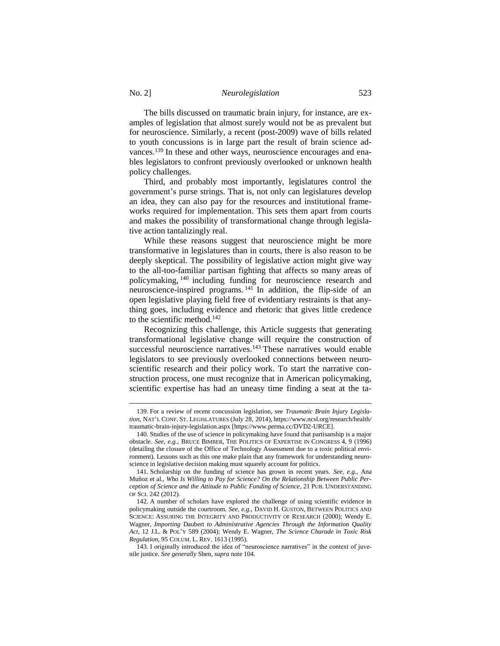The bills discussed on traumatic brain injury, for instance, are examples of legislation that almost surely would not be as prevalent but for neuroscience. Similarly, a recent (post-2009) wave of bills related to youth concussions is in large part the result of brain science advances.<sup>139</sup> In these and other ways, neuroscience encourages and enables legislators to confront previously overlooked or unknown health policy challenges.

Third, and probably most importantly, legislatures control the government's purse strings. That is, not only can legislatures develop an idea, they can also pay for the resources and institutional frameworks required for implementation. This sets them apart from courts and makes the possibility of transformational change through legislative action tantalizingly real.

While these reasons suggest that neuroscience might be more transformative in legislatures than in courts, there is also reason to be deeply skeptical. The possibility of legislative action might give way to the all-too-familiar partisan fighting that affects so many areas of policymaking, <sup>140</sup> including funding for neuroscience research and neuroscience-inspired programs. <sup>141</sup> In addition, the flip-side of an open legislative playing field free of evidentiary restraints is that anything goes, including evidence and rhetoric that gives little credence to the scientific method.<sup>142</sup>

Recognizing this challenge, this Article suggests that generating transformational legislative change will require the construction of successful neuroscience narratives.<sup>143</sup> These narratives would enable legislators to see previously overlooked connections between neuroscientific research and their policy work. To start the narrative construction process, one must recognize that in American policymaking, scientific expertise has had an uneasy time finding a seat at the ta-

<sup>139.</sup> For a review of recent concussion legislation, see *Traumatic Brain Injury Legislation*, NAT'L CONF. ST. LEGISLATURES (July 28, 2014), https://www.ncsl.org/research/health/ traumatic-brain-injury-legislation.aspx [https://www.perma.cc/DVD2-URCE].

<sup>140.</sup> Studies of the use of science in policymaking have found that partisanship is a major obstacle. *See, e.g.*, BRUCE BIMBER, THE POLITICS OF EXPERTISE IN CONGRESS 4, 9 (1996) (detailing the closure of the Office of Technology Assessment due to a toxic political environment). Lessons such as this one make plain that any framework for understanding neuroscience in legislative decision making must squarely account for politics.

<sup>141.</sup> Scholarship on the funding of science has grown in recent years. *See, e.g.*, Ana Muñoz et al., *Who Is Willing to Pay for Science? On the Relationship Between Public Perception of Science and the Attitude to Public Funding of Science*, 21 PUB. UNDERSTANDING OF SCI. 242 (2012).

<sup>142.</sup> A number of scholars have explored the challenge of using scientific evidence in policymaking outside the courtroom. *See*, *e.g*., DAVID H. GUSTON, BETWEEN POLITICS AND SCIENCE: ASSURING THE INTEGRITY AND PRODUCTIVITY OF RESEARCH (2000); Wendy E. Wagner, *Importing* Daubert *to Administrative Agencies Through the Information Quality Act*, 12 J.L. & POL'Y 589 (2004); Wendy E. Wagner, *The Science Charade in Toxic Risk Regulation*, 95 COLUM. L. REV. 1613 (1995).

<sup>143.</sup> I originally introduced the idea of "neuroscience narratives" in the context of juvenile justice. *See generally* Shen, *supra* note [104.](#page-18-0)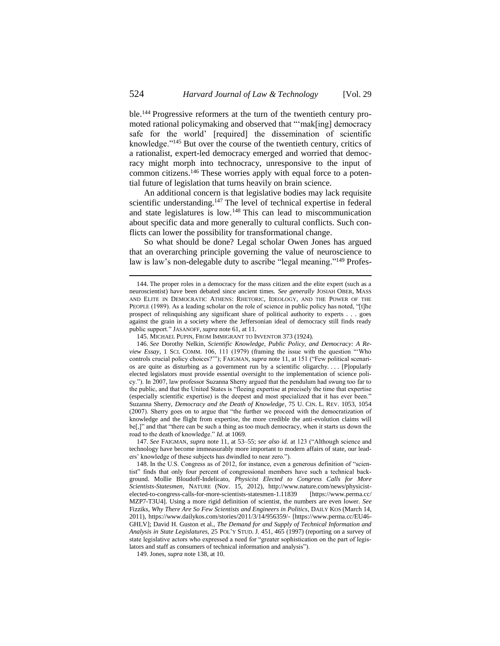ble.<sup>144</sup> Progressive reformers at the turn of the twentieth century promoted rational policymaking and observed that "'mak[ing] democracy safe for the world' [required] the dissemination of scientific knowledge."<sup>145</sup> But over the course of the twentieth century, critics of a rationalist, expert-led democracy emerged and worried that democracy might morph into technocracy, unresponsive to the input of common citizens.<sup>146</sup> These worries apply with equal force to a potential future of legislation that turns heavily on brain science.

An additional concern is that legislative bodies may lack requisite scientific understanding.<sup>147</sup> The level of technical expertise in federal and state legislatures is low.<sup>148</sup> This can lead to miscommunication about specific data and more generally to cultural conflicts. Such conflicts can lower the possibility for transformational change.

So what should be done? Legal scholar Owen Jones has argued that an overarching principle governing the value of neuroscience to law is law's non-delegable duty to ascribe "legal meaning."<sup>149</sup> Profes-

147. *See* FAIGMAN, *supra* note [11,](#page-2-0) at 53–55; *see also id.* at 123 ("Although science and technology have become immeasurably more important to modern affairs of state, our leaders' knowledge of these subjects has dwindled to near zero.").

<sup>144.</sup> The proper roles in a democracy for the mass citizen and the elite expert (such as a neuroscientist) have been debated since ancient times. *See generally* JOSIAH OBER, MASS AND ELITE IN DEMOCRATIC ATHENS: RHETORIC, IDEOLOGY, AND THE POWER OF THE PEOPLE (1989). As a leading scholar on the role of science in public policy has noted, "[t]he prospect of relinquishing any significant share of political authority to experts . . . goes against the grain in a society where the Jeffersonian ideal of democracy still finds ready public support." JASANOFF, *supra* not[e 61,](#page-10-0) at 11.

<sup>145.</sup> MICHAEL PUPIN, FROM IMMIGRANT TO INVENTOR 373 (1924).

<sup>146.</sup> *See* Dorothy Nelkin, *Scientific Knowledge, Public Policy, and Democracy: A Review Essay*, 1 SCI. COMM. 106, 111 (1979) (framing the issue with the question "'Who controls crucial policy choices?'"); FAIGMAN, *supra* note [11,](#page-2-0) at 151 ("Few political scenarios are quite as disturbing as a government run by a scientific oligarchy. . . . [P]opularly elected legislators must provide essential oversight to the implementation of science policy."). In 2007, law professor Suzanna Sherry argued that the pendulum had swung too far to the public, and that the United States is "fleeing expertise at precisely the time that expertise (especially scientific expertise) is the deepest and most specialized that it has ever been." Suzanna Sherry, *Democracy and the Death of Knowledge*, 75 U. CIN. L. REV. 1053, 1054 (2007). Sherry goes on to argue that "the further we proceed with the democratization of knowledge and the flight from expertise, the more credible the anti-evolution claims will be<sup>[,]</sup>" and that "there can be such a thing as too much democracy, when it starts us down the road to the death of knowledge." *Id.* at 1069.

<sup>148.</sup> In the U.S. Congress as of 2012, for instance, even a generous definition of "scientist" finds that only four percent of congressional members have such a technical background. Mollie Bloudoff-Indelicato, *Physicist Elected to Congress Calls for More Scientists-Statesmen*, NATURE (Nov. 15, 2012), http://www.nature.com/news/physicistelected-to-congress-calls-for-more-scientists-statesmen-1.11839 [https://www.perma.cc/ MZP7-T3U4]. Using a more rigid definition of scientist, the numbers are even lower. *See*  Fizziks, *Why There Are So Few Scientists and Engineers in Politics*, DAILY KOS (March 14, 2011), https://www.dailykos.com/stories/2011/3/14/956359/- [https://www.perma.cc/EU46- GHLV]; David H. Guston et al., *The Demand for and Supply of Technical Information and Analysis in State Legislatures*, 25 POL'Y STUD. J. 451, 465 (1997) (reporting on a survey of state legislative actors who expressed a need for "greater sophistication on the part of legislators and staff as consumers of technical information and analysis").

<sup>149.</sup> Jones, *supra* note [138,](#page-27-0) at 10.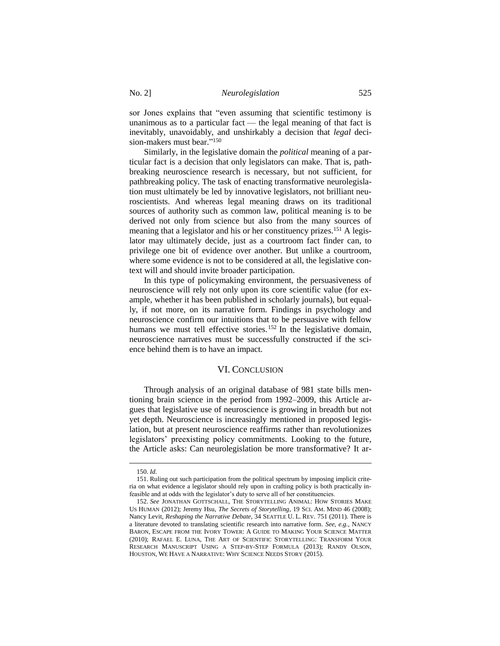sor Jones explains that "even assuming that scientific testimony is unanimous as to a particular fact — the legal meaning of that fact is inevitably, unavoidably, and unshirkably a decision that *legal* decision-makers must bear." 150

Similarly, in the legislative domain the *political* meaning of a particular fact is a decision that only legislators can make. That is, pathbreaking neuroscience research is necessary, but not sufficient, for pathbreaking policy. The task of enacting transformative neurolegislation must ultimately be led by innovative legislators, not brilliant neuroscientists. And whereas legal meaning draws on its traditional sources of authority such as common law, political meaning is to be derived not only from science but also from the many sources of meaning that a legislator and his or her constituency prizes.<sup>151</sup> A legislator may ultimately decide, just as a courtroom fact finder can, to privilege one bit of evidence over another. But unlike a courtroom, where some evidence is not to be considered at all, the legislative context will and should invite broader participation.

In this type of policymaking environment, the persuasiveness of neuroscience will rely not only upon its core scientific value (for example, whether it has been published in scholarly journals), but equally, if not more, on its narrative form. Findings in psychology and neuroscience confirm our intuitions that to be persuasive with fellow humans we must tell effective stories.<sup>152</sup> In the legislative domain, neuroscience narratives must be successfully constructed if the science behind them is to have an impact.

## VI. CONCLUSION

Through analysis of an original database of 981 state bills mentioning brain science in the period from 1992–2009, this Article argues that legislative use of neuroscience is growing in breadth but not yet depth. Neuroscience is increasingly mentioned in proposed legislation, but at present neuroscience reaffirms rather than revolutionizes legislators' preexisting policy commitments. Looking to the future, the Article asks: Can neurolegislation be more transformative? It ar-

<sup>150.</sup> *Id.*

<sup>151.</sup> Ruling out such participation from the political spectrum by imposing implicit criteria on what evidence a legislator should rely upon in crafting policy is both practically infeasible and at odds with the legislator's duty to serve all of her constituencies.

<sup>152.</sup> *See* JONATHAN GOTTSCHALL, THE STORYTELLING ANIMAL: HOW STORIES MAKE US HUMAN (2012); Jeremy Hsu, *The Secrets of Storytelling*, 19 SCI. AM. MIND 46 (2008); Nancy Levit, *Reshaping the Narrative Debate*, 34 SEATTLE U. L. REV. 751 (2011). There is a literature devoted to translating scientific research into narrative form. *See, e.g.*, NANCY BARON, ESCAPE FROM THE IVORY TOWER: A GUIDE TO MAKING YOUR SCIENCE MATTER (2010); RAFAEL E. LUNA, THE ART OF SCIENTIFIC STORYTELLING: TRANSFORM YOUR RESEARCH MANUSCRIPT USING A STEP-BY-STEP FORMULA (2013); RANDY OLSON, HOUSTON, WE HAVE A NARRATIVE: WHY SCIENCE NEEDS STORY (2015).